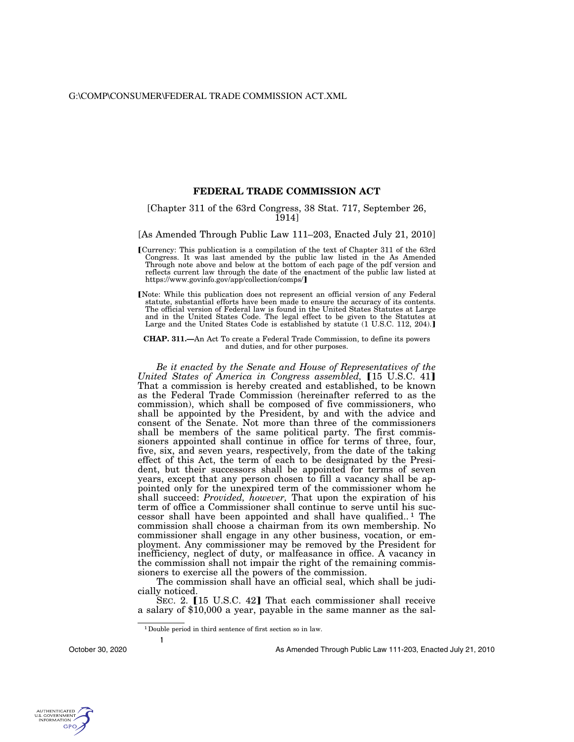## **FEDERAL TRADE COMMISSION ACT**

### [Chapter 311 of the 63rd Congress, 38 Stat. 717, September 26, 1914]

### [As Amended Through Public Law 111–203, Enacted July 21, 2010]

- øCurrency: This publication is a compilation of the text of Chapter 311 of the 63rd Congress. It was last amended by the public law listed in the As Amended<br>Through note above and below at the bottom of each page of the pdf version and<br>reflects current law through the date of the enactment of the public l https://www.govinfo.gov/app/collection/comps/
- Note: While this publication does not represent an official version of any Federal statute, substantial efforts have been made to ensure the accuracy of its contents. The official version of Federal law is found in the United States Statutes at Large and in the United States Code. The legal effect to be given to the Statutes at Large and the United States Code is established by statute (1 U.S.C. 112, 204).]

**CHAP. 311.—**An Act To create a Federal Trade Commission, to define its powers and duties, and for other purposes.

*Be it enacted by the Senate and House of Representatives of the United States of America in Congress assembled,* [15 U.S.C. 41] That a commission is hereby created and established, to be known as the Federal Trade Commission (hereinafter referred to as the commission), which shall be composed of five commissioners, who shall be appointed by the President, by and with the advice and consent of the Senate. Not more than three of the commissioners shall be members of the same political party. The first commissioners appointed shall continue in office for terms of three, four, five, six, and seven years, respectively, from the date of the taking effect of this Act, the term of each to be designated by the President, but their successors shall be appointed for terms of seven years, except that any person chosen to fill a vacancy shall be appointed only for the unexpired term of the commissioner whom he shall succeed: *Provided, however,* That upon the expiration of his term of office a Commissioner shall continue to serve until his successor shall have been appointed and shall have qualified.. 1 The commission shall choose a chairman from its own membership. No commissioner shall engage in any other business, vocation, or employment. Any commissioner may be removed by the President for inefficiency, neglect of duty, or malfeasance in office. A vacancy in the commission shall not impair the right of the remaining commissioners to exercise all the powers of the commission.

The commission shall have an official seal, which shall be judicially noticed.

SEC. 2. **[15 U.S.C. 42] That each commissioner shall receive** a salary of \$10,000 a year, payable in the same manner as the sal-

October 30, 2020

**1**



<sup>1</sup>Double period in third sentence of first section so in law.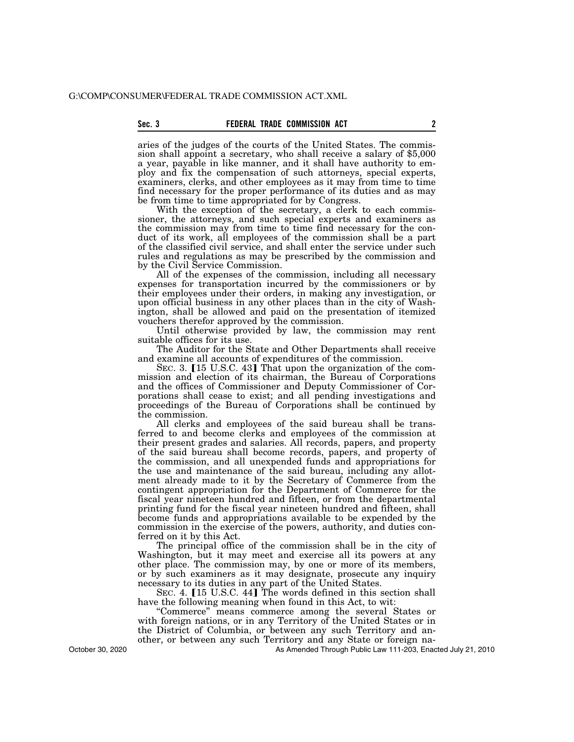aries of the judges of the courts of the United States. The commission shall appoint a secretary, who shall receive a salary of \$5,000 a year, payable in like manner, and it shall have authority to employ and fix the compensation of such attorneys, special experts, examiners, clerks, and other employees as it may from time to time find necessary for the proper performance of its duties and as may be from time to time appropriated for by Congress.

With the exception of the secretary, a clerk to each commissioner, the attorneys, and such special experts and examiners as the commission may from time to time find necessary for the conduct of its work, all employees of the commission shall be a part of the classified civil service, and shall enter the service under such rules and regulations as may be prescribed by the commission and by the Civil Service Commission.

All of the expenses of the commission, including all necessary expenses for transportation incurred by the commissioners or by their employees under their orders, in making any investigation, or upon official business in any other places than in the city of Washington, shall be allowed and paid on the presentation of itemized vouchers therefor approved by the commission.

Until otherwise provided by law, the commission may rent suitable offices for its use.

The Auditor for the State and Other Departments shall receive and examine all accounts of expenditures of the commission.

SEC. 3.  $[15 \text{ U.S.C. } 43]$  That upon the organization of the commission and election of its chairman, the Bureau of Corporations and the offices of Commissioner and Deputy Commissioner of Corporations shall cease to exist; and all pending investigations and proceedings of the Bureau of Corporations shall be continued by the commission.

All clerks and employees of the said bureau shall be transferred to and become clerks and employees of the commission at their present grades and salaries. All records, papers, and property of the said bureau shall become records, papers, and property of the commission, and all unexpended funds and appropriations for the use and maintenance of the said bureau, including any allotment already made to it by the Secretary of Commerce from the contingent appropriation for the Department of Commerce for the fiscal year nineteen hundred and fifteen, or from the departmental printing fund for the fiscal year nineteen hundred and fifteen, shall become funds and appropriations available to be expended by the commission in the exercise of the powers, authority, and duties conferred on it by this Act.

The principal office of the commission shall be in the city of Washington, but it may meet and exercise all its powers at any other place. The commission may, by one or more of its members, or by such examiners as it may designate, prosecute any inquiry necessary to its duties in any part of the United States.<br>SEC. 4. [15 U.S.C. 44] The words defined in this section shall

have the following meaning when found in this Act, to wit:

''Commerce'' means commerce among the several States or with foreign nations, or in any Territory of the United States or in the District of Columbia, or between any such Territory and another, or between any such Territory and any State or foreign na-

As Amended Through Public Law 111-203, Enacted July 21, 2010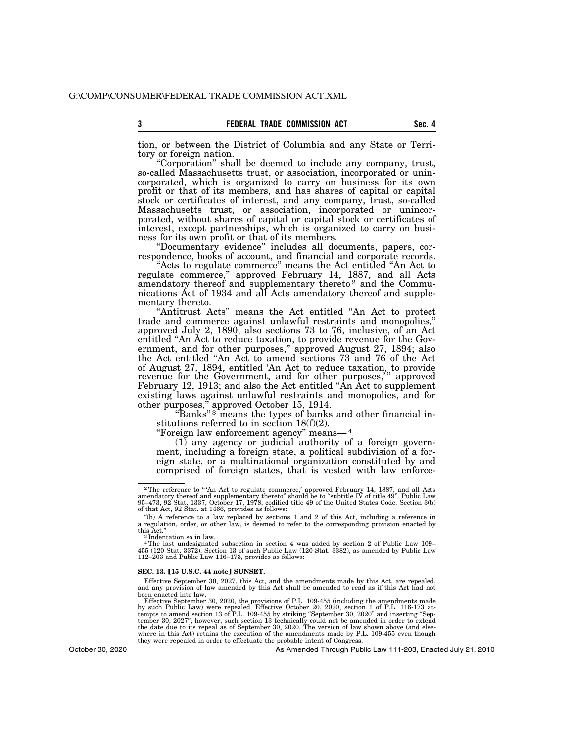tion, or between the District of Columbia and any State or Territory or foreign nation.

"Corporation" shall be deemed to include any company, trust, so-called Massachusetts trust, or association, incorporated or unincorporated, which is organized to carry on business for its own profit or that of its members, and has shares of capital or capital stock or certificates of interest, and any company, trust, so-called Massachusetts trust, or association, incorporated or unincorporated, without shares of capital or capital stock or certificates of interest, except partnerships, which is organized to carry on business for its own profit or that of its members.

''Documentary evidence'' includes all documents, papers, correspondence, books of account, and financial and corporate records.

"Acts to regulate commerce" means the Act entitled "An Act to regulate commerce,'' approved February 14, 1887, and all Acts amendatory thereof and supplementary thereto 2 and the Communications Act of 1934 and all Acts amendatory thereof and supplementary thereto.

''Antitrust Acts'' means the Act entitled ''An Act to protect trade and commerce against unlawful restraints and monopolies,'' approved July 2, 1890; also sections 73 to 76, inclusive, of an Act entitled ''An Act to reduce taxation, to provide revenue for the Government, and for other purposes," approved August 27, 1894; also the Act entitled ''An Act to amend sections 73 and 76 of the Act of August 27, 1894, entitled 'An Act to reduce taxation, to provide revenue for the Government, and for other purposes," approved February 12, 1913; and also the Act entitled ''An Act to supplement existing laws against unlawful restraints and monopolies, and for other purposes,'' approved October 15, 1914.

"Banks"<sup>3</sup> means the types of banks and other financial institutions referred to in section 18(f)(2).

''Foreign law enforcement agency'' means— 4

(1) any agency or judicial authority of a foreign government, including a foreign state, a political subdivision of a foreign state, or a multinational organization constituted by and comprised of foreign states, that is vested with law enforce-

#### **SEC. 13. [15 U.S.C. 44 note] SUNSET.**

Effective September 30, 2027, this Act, and the amendments made by this Act, are repealed, and any provision of law amended by this Act shall be amended to read as if this Act had not been enacted into law.

Effective September 30, 2020, the provisions of P.L. 109-455 (including the amendments made<br>by such Public Law) were repealed. Effective October 20, 2020, section 1 of P.L. 116-173 at-<br>tempts to amend section 13 of P.L. 10 tember 30, 2027"; however, such section 13 technically could not be amended in order to extend<br>the date due to its repeal as of September 30, 2020. The version of law shown above (and else-<br>where in this Act) retains the e they were repealed in order to effectuate the probable intent of Congress.

October 30, 2020

<sup>&</sup>lt;sup>2</sup>The reference to "An Act to regulate commerce,' approved February 14, 1887, and all Acts amendatory thereof and supplementary thereto" should be to "subtitle IV of title 49". Public Law  $95-473$ ,  $92$  Stat. 1337, Octob of that Act, 92 Stat. at 1466, provides as follows:

<sup>&</sup>quot;(b) A reference to a law replaced by sections 1 and 2 of this Act, including a reference in a regulation, order, or other law, is deemed to refer to the corresponding provision enacted by this Act.'' 3 Indentation so in law.

<sup>4</sup>The last undesignated subsection in section 4 was added by section 2 of Public Law 109– 455 (120 Stat. 3372). Section 13 of such Public Law (120 Stat. 3382), as amended by Public Law 112–203 and Public Law 116–173, provides as follows: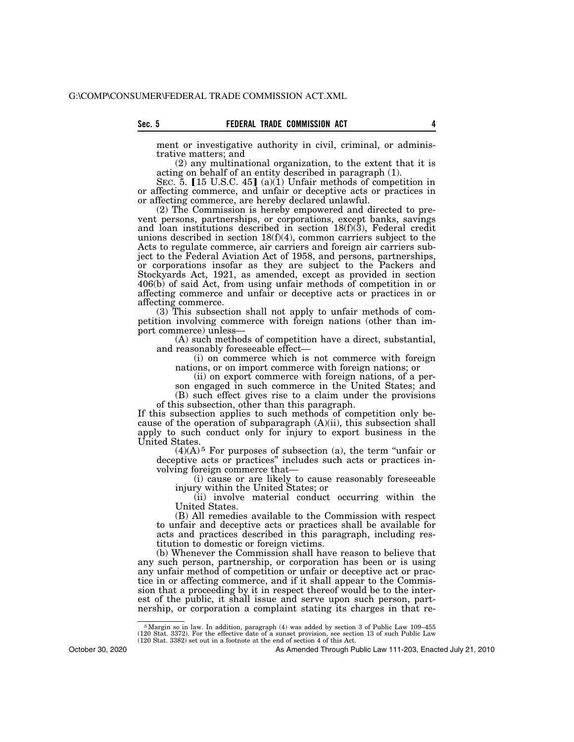ment or investigative authority in civil, criminal, or administrative matters; and

(2) any multinational organization, to the extent that it is acting on behalf of an entity described in paragraph (1).

SEC. 5.  $[15 \text{ U.S.C. } 45]$  (a)(1) Unfair methods of competition in or affecting commerce, and unfair or deceptive acts or practices in or affecting commerce, are hereby declared unlawful.

(2) The Commission is hereby empowered and directed to prevent persons, partnerships, or corporations, except banks, savings and loan institutions described in section  $18(f)(3)$ , Federal credit unions described in section  $18(f)(4)$ , common carriers subject to the Acts to regulate commerce, air carriers and foreign air carriers subject to the Federal Aviation Act of 1958, and persons, partnerships, or corporations insofar as they are subject to the Packers and Stockyards Act, 1921, as amended, except as provided in section 406(b) of said Act, from using unfair methods of competition in or affecting commerce and unfair or deceptive acts or practices in or affecting commerce.

(3) This subsection shall not apply to unfair methods of competition involving commerce with foreign nations (other than import commerce) unless—

(A) such methods of competition have a direct, substantial, and reasonably foreseeable effect—

(i) on commerce which is not commerce with foreign nations, or on import commerce with foreign nations; or

(ii) on export commerce with foreign nations, of a per-

son engaged in such commerce in the United States; and (B) such effect gives rise to a claim under the provisions of this subsection, other than this paragraph.

If this subsection applies to such methods of competition only because of the operation of subparagraph (A)(ii), this subsection shall apply to such conduct only for injury to export business in the United States.

 $(4)(A)^5$  For purposes of subsection (a), the term "unfair or deceptive acts or practices'' includes such acts or practices involving foreign commerce that—

(i) cause or are likely to cause reasonably foreseeable injury within the United States; or

(ii) involve material conduct occurring within the United States.

(B) All remedies available to the Commission with respect to unfair and deceptive acts or practices shall be available for acts and practices described in this paragraph, including restitution to domestic or foreign victims.

(b) Whenever the Commission shall have reason to believe that any such person, partnership, or corporation has been or is using any unfair method of competition or unfair or deceptive act or practice in or affecting commerce, and if it shall appear to the Commission that a proceeding by it in respect thereof would be to the interest of the public, it shall issue and serve upon such person, partnership, or corporation a complaint stating its charges in that re-

October 30, 2020

 $^5$  Margin so in law. In addition, paragraph  $(4)$  was added by section 3 of Public Law 109–455 (120 Stat. 3372). For the effective date of a sunset provision, see section 13 of such Public Law (120 Stat. 3382) set out i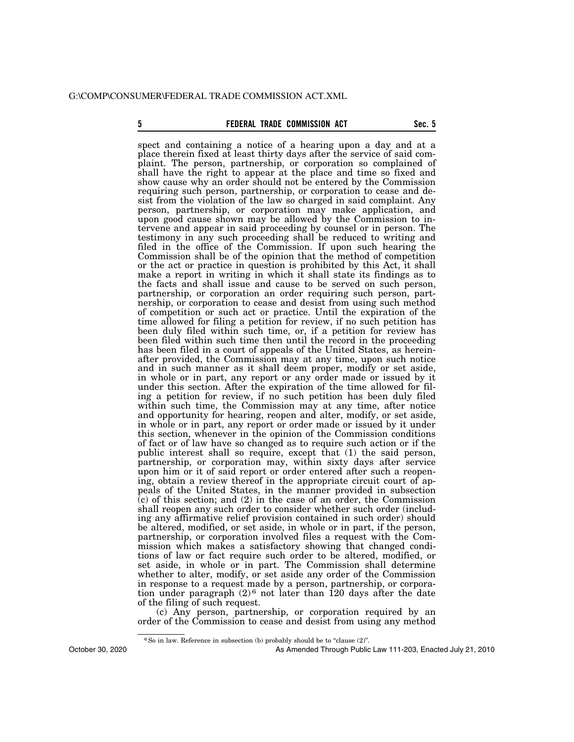### **5 Sec. 5 FEDERAL TRADE COMMISSION ACT**

spect and containing a notice of a hearing upon a day and at a place therein fixed at least thirty days after the service of said complaint. The person, partnership, or corporation so complained of shall have the right to appear at the place and time so fixed and show cause why an order should not be entered by the Commission requiring such person, partnership, or corporation to cease and desist from the violation of the law so charged in said complaint. Any person, partnership, or corporation may make application, and upon good cause shown may be allowed by the Commission to intervene and appear in said proceeding by counsel or in person. The testimony in any such proceeding shall be reduced to writing and filed in the office of the Commission. If upon such hearing the Commission shall be of the opinion that the method of competition or the act or practice in question is prohibited by this Act, it shall make a report in writing in which it shall state its findings as to the facts and shall issue and cause to be served on such person, partnership, or corporation an order requiring such person, partnership, or corporation to cease and desist from using such method of competition or such act or practice. Until the expiration of the time allowed for filing a petition for review, if no such petition has been duly filed within such time, or, if a petition for review has been filed within such time then until the record in the proceeding has been filed in a court of appeals of the United States, as hereinafter provided, the Commission may at any time, upon such notice and in such manner as it shall deem proper, modify or set aside, in whole or in part, any report or any order made or issued by it under this section. After the expiration of the time allowed for filing a petition for review, if no such petition has been duly filed within such time, the Commission may at any time, after notice and opportunity for hearing, reopen and alter, modify, or set aside, in whole or in part, any report or order made or issued by it under this section, whenever in the opinion of the Commission conditions of fact or of law have so changed as to require such action or if the public interest shall so require, except that (1) the said person, partnership, or corporation may, within sixty days after service upon him or it of said report or order entered after such a reopening, obtain a review thereof in the appropriate circuit court of appeals of the United States, in the manner provided in subsection  $(c)$  of this section; and  $(2)$  in the case of an order, the Commission shall reopen any such order to consider whether such order (including any affirmative relief provision contained in such order) should be altered, modified, or set aside, in whole or in part, if the person, partnership, or corporation involved files a request with the Commission which makes a satisfactory showing that changed conditions of law or fact require such order to be altered, modified, or set aside, in whole or in part. The Commission shall determine whether to alter, modify, or set aside any order of the Commission in response to a request made by a person, partnership, or corporation under paragraph  $(2)^6$  not later than 120 days after the date of the filing of such request.

(c) Any person, partnership, or corporation required by an order of the Commission to cease and desist from using any method

 $6S$ o in law. Reference in subsection (b) probably should be to "clause  $(2)$ ".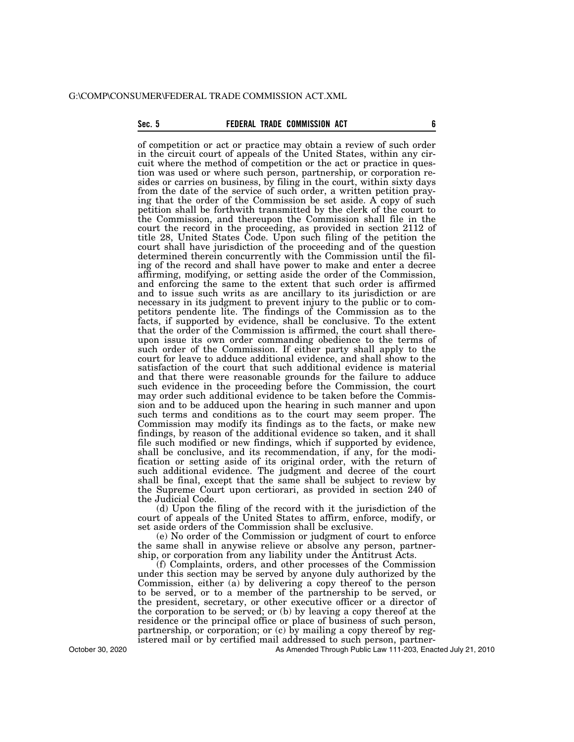#### **Sec. 5 FEDERAL TRADE COMMISSION ACT 6**

of competition or act or practice may obtain a review of such order in the circuit court of appeals of the United States, within any circuit where the method of competition or the act or practice in question was used or where such person, partnership, or corporation resides or carries on business, by filing in the court, within sixty days from the date of the service of such order, a written petition praying that the order of the Commission be set aside. A copy of such petition shall be forthwith transmitted by the clerk of the court to the Commission, and thereupon the Commission shall file in the court the record in the proceeding, as provided in section 2112 of title 28, United States Code. Upon such filing of the petition the court shall have jurisdiction of the proceeding and of the question determined therein concurrently with the Commission until the filing of the record and shall have power to make and enter a decree affirming, modifying, or setting aside the order of the Commission, and enforcing the same to the extent that such order is affirmed and to issue such writs as are ancillary to its jurisdiction or are necessary in its judgment to prevent injury to the public or to competitors pendente lite. The findings of the Commission as to the facts, if supported by evidence, shall be conclusive. To the extent that the order of the Commission is affirmed, the court shall thereupon issue its own order commanding obedience to the terms of such order of the Commission. If either party shall apply to the court for leave to adduce additional evidence, and shall show to the satisfaction of the court that such additional evidence is material and that there were reasonable grounds for the failure to adduce such evidence in the proceeding before the Commission, the court may order such additional evidence to be taken before the Commission and to be adduced upon the hearing in such manner and upon such terms and conditions as to the court may seem proper. The Commission may modify its findings as to the facts, or make new findings, by reason of the additional evidence so taken, and it shall file such modified or new findings, which if supported by evidence, shall be conclusive, and its recommendation, if any, for the modification or setting aside of its original order, with the return of such additional evidence. The judgment and decree of the court shall be final, except that the same shall be subject to review by the Supreme Court upon certiorari, as provided in section 240 of the Judicial Code.

(d) Upon the filing of the record with it the jurisdiction of the court of appeals of the United States to affirm, enforce, modify, or set aside orders of the Commission shall be exclusive.

(e) No order of the Commission or judgment of court to enforce the same shall in anywise relieve or absolve any person, partnership, or corporation from any liability under the Antitrust Acts.

(f) Complaints, orders, and other processes of the Commission under this section may be served by anyone duly authorized by the Commission, either (a) by delivering a copy thereof to the person to be served, or to a member of the partnership to be served, or the president, secretary, or other executive officer or a director of the corporation to be served; or (b) by leaving a copy thereof at the residence or the principal office or place of business of such person, partnership, or corporation; or (c) by mailing a copy thereof by registered mail or by certified mail addressed to such person, partner-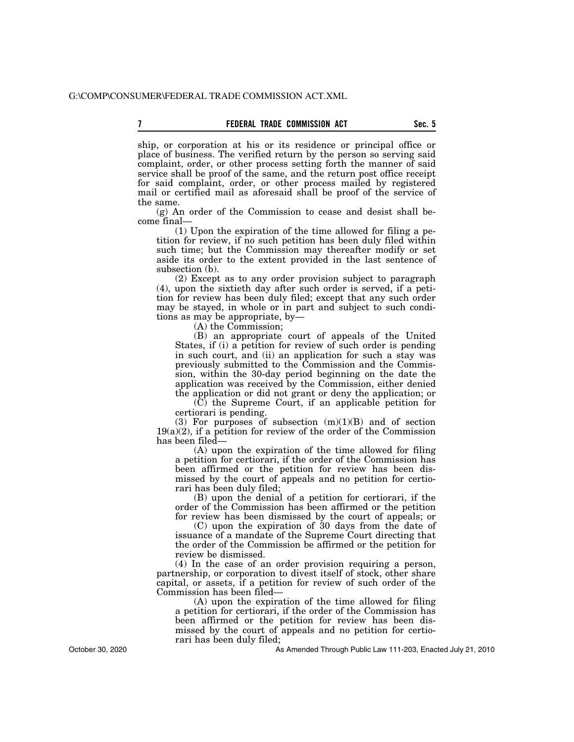ship, or corporation at his or its residence or principal office or place of business. The verified return by the person so serving said complaint, order, or other process setting forth the manner of said service shall be proof of the same, and the return post office receipt for said complaint, order, or other process mailed by registered mail or certified mail as aforesaid shall be proof of the service of the same.

(g) An order of the Commission to cease and desist shall become final—

(1) Upon the expiration of the time allowed for filing a petition for review, if no such petition has been duly filed within such time; but the Commission may thereafter modify or set aside its order to the extent provided in the last sentence of subsection (b).

(2) Except as to any order provision subject to paragraph (4), upon the sixtieth day after such order is served, if a petition for review has been duly filed; except that any such order may be stayed, in whole or in part and subject to such conditions as may be appropriate, by—

(A) the Commission;

(B) an appropriate court of appeals of the United States, if (i) a petition for review of such order is pending in such court, and (ii) an application for such a stay was previously submitted to the Commission and the Commission, within the 30-day period beginning on the date the application was received by the Commission, either denied the application or did not grant or deny the application; or

(C) the Supreme Court, if an applicable petition for certiorari is pending.

(3) For purposes of subsection  $(m)(1)(B)$  and of section 19(a)(2), if a petition for review of the order of the Commission has been filed—

(A) upon the expiration of the time allowed for filing a petition for certiorari, if the order of the Commission has been affirmed or the petition for review has been dismissed by the court of appeals and no petition for certiorari has been duly filed;

(B) upon the denial of a petition for certiorari, if the order of the Commission has been affirmed or the petition for review has been dismissed by the court of appeals; or

(C) upon the expiration of 30 days from the date of issuance of a mandate of the Supreme Court directing that the order of the Commission be affirmed or the petition for review be dismissed.

(4) In the case of an order provision requiring a person, partnership, or corporation to divest itself of stock, other share capital, or assets, if a petition for review of such order of the Commission has been filed—

(A) upon the expiration of the time allowed for filing a petition for certiorari, if the order of the Commission has been affirmed or the petition for review has been dismissed by the court of appeals and no petition for certiorari has been duly filed;

As Amended Through Public Law 111-203, Enacted July 21, 2010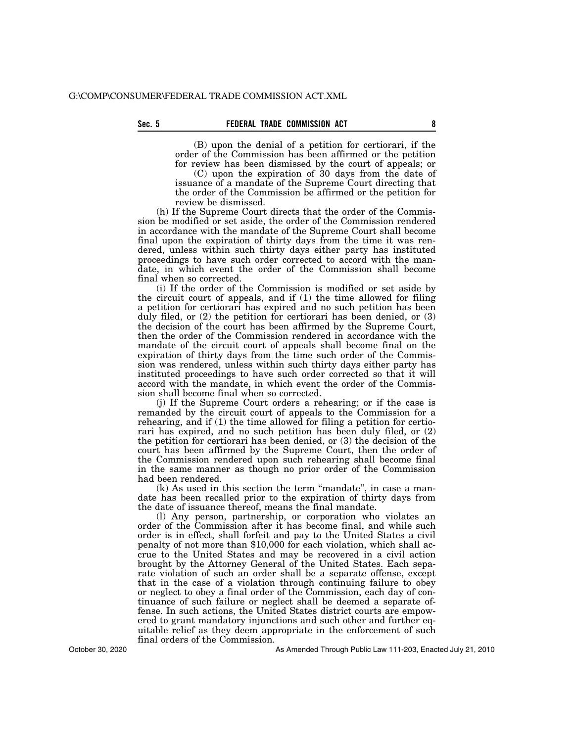(B) upon the denial of a petition for certiorari, if the order of the Commission has been affirmed or the petition for review has been dismissed by the court of appeals; or

(C) upon the expiration of 30 days from the date of issuance of a mandate of the Supreme Court directing that the order of the Commission be affirmed or the petition for review be dismissed.

(h) If the Supreme Court directs that the order of the Commission be modified or set aside, the order of the Commission rendered in accordance with the mandate of the Supreme Court shall become final upon the expiration of thirty days from the time it was rendered, unless within such thirty days either party has instituted proceedings to have such order corrected to accord with the mandate, in which event the order of the Commission shall become final when so corrected.

(i) If the order of the Commission is modified or set aside by the circuit court of appeals, and if (1) the time allowed for filing a petition for certiorari has expired and no such petition has been duly filed, or (2) the petition for certiorari has been denied, or (3) the decision of the court has been affirmed by the Supreme Court, then the order of the Commission rendered in accordance with the mandate of the circuit court of appeals shall become final on the expiration of thirty days from the time such order of the Commission was rendered, unless within such thirty days either party has instituted proceedings to have such order corrected so that it will accord with the mandate, in which event the order of the Commission shall become final when so corrected.

(j) If the Supreme Court orders a rehearing; or if the case is remanded by the circuit court of appeals to the Commission for a rehearing, and if (1) the time allowed for filing a petition for certiorari has expired, and no such petition has been duly filed, or (2) the petition for certiorari has been denied, or (3) the decision of the court has been affirmed by the Supreme Court, then the order of the Commission rendered upon such rehearing shall become final in the same manner as though no prior order of the Commission had been rendered.

(k) As used in this section the term ''mandate'', in case a mandate has been recalled prior to the expiration of thirty days from the date of issuance thereof, means the final mandate.

(l) Any person, partnership, or corporation who violates an order of the Commission after it has become final, and while such order is in effect, shall forfeit and pay to the United States a civil penalty of not more than \$10,000 for each violation, which shall accrue to the United States and may be recovered in a civil action brought by the Attorney General of the United States. Each separate violation of such an order shall be a separate offense, except that in the case of a violation through continuing failure to obey or neglect to obey a final order of the Commission, each day of continuance of such failure or neglect shall be deemed a separate offense. In such actions, the United States district courts are empowered to grant mandatory injunctions and such other and further equitable relief as they deem appropriate in the enforcement of such final orders of the Commission.

October 30, 2020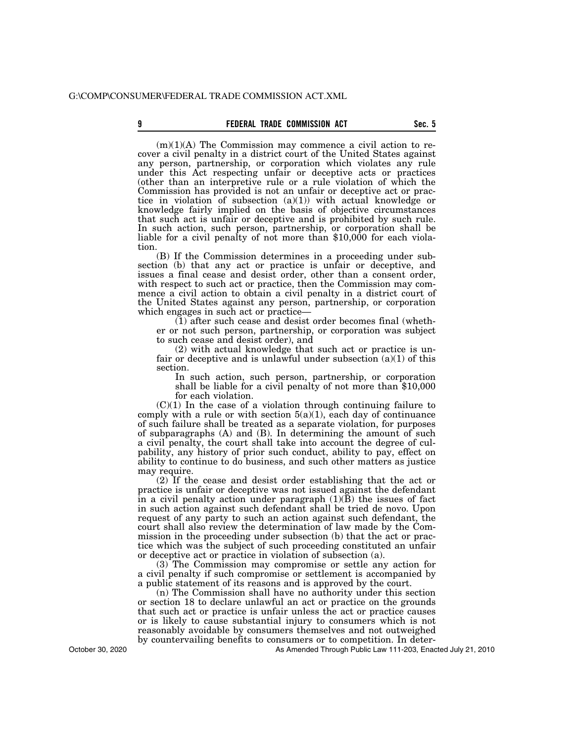$(m)(1)(A)$  The Commission may commence a civil action to recover a civil penalty in a district court of the United States against any person, partnership, or corporation which violates any rule under this Act respecting unfair or deceptive acts or practices (other than an interpretive rule or a rule violation of which the Commission has provided is not an unfair or deceptive act or practice in violation of subsection  $(a)(1)$  with actual knowledge or knowledge fairly implied on the basis of objective circumstances that such act is unfair or deceptive and is prohibited by such rule. In such action, such person, partnership, or corporation shall be liable for a civil penalty of not more than \$10,000 for each violation.

(B) If the Commission determines in a proceeding under subsection (b) that any act or practice is unfair or deceptive, and issues a final cease and desist order, other than a consent order, with respect to such act or practice, then the Commission may commence a civil action to obtain a civil penalty in a district court of the United States against any person, partnership, or corporation which engages in such act or practice—

(1) after such cease and desist order becomes final (whether or not such person, partnership, or corporation was subject to such cease and desist order), and

(2) with actual knowledge that such act or practice is unfair or deceptive and is unlawful under subsection  $(a)(1)$  of this section.

In such action, such person, partnership, or corporation shall be liable for a civil penalty of not more than \$10,000 for each violation.

 $(C)(1)$  In the case of a violation through continuing failure to comply with a rule or with section  $5(a)(1)$ , each day of continuance of such failure shall be treated as a separate violation, for purposes of subparagraphs (A) and (B). In determining the amount of such a civil penalty, the court shall take into account the degree of culpability, any history of prior such conduct, ability to pay, effect on ability to continue to do business, and such other matters as justice may require.

(2) If the cease and desist order establishing that the act or practice is unfair or deceptive was not issued against the defendant in a civil penalty action under paragraph  $(1)(B)$  the issues of fact in such action against such defendant shall be tried de novo. Upon request of any party to such an action against such defendant, the court shall also review the determination of law made by the Commission in the proceeding under subsection (b) that the act or practice which was the subject of such proceeding constituted an unfair or deceptive act or practice in violation of subsection (a).

(3) The Commission may compromise or settle any action for a civil penalty if such compromise or settlement is accompanied by a public statement of its reasons and is approved by the court.

(n) The Commission shall have no authority under this section or section 18 to declare unlawful an act or practice on the grounds that such act or practice is unfair unless the act or practice causes or is likely to cause substantial injury to consumers which is not reasonably avoidable by consumers themselves and not outweighed by countervailing benefits to consumers or to competition. In deter-

As Amended Through Public Law 111-203, Enacted July 21, 2010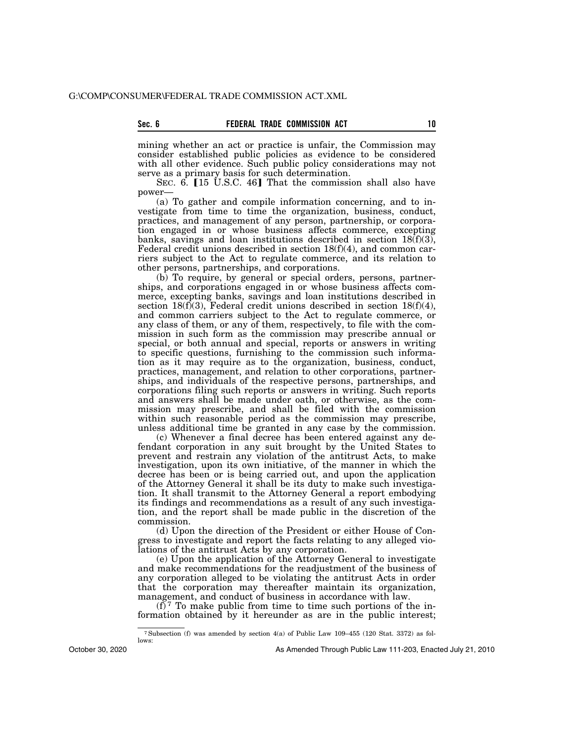mining whether an act or practice is unfair, the Commission may consider established public policies as evidence to be considered with all other evidence. Such public policy considerations may not serve as a primary basis for such determination.

SEC. 6. [15 U.S.C. 46] That the commission shall also have power—

(a) To gather and compile information concerning, and to investigate from time to time the organization, business, conduct, practices, and management of any person, partnership, or corporation engaged in or whose business affects commerce, excepting banks, savings and loan institutions described in section  $18(1)(3)$ , Federal credit unions described in section 18(f)(4), and common carriers subject to the Act to regulate commerce, and its relation to other persons, partnerships, and corporations.

(b) To require, by general or special orders, persons, partnerships, and corporations engaged in or whose business affects commerce, excepting banks, savings and loan institutions described in section 18 $(f)(3)$ , Federal credit unions described in section 18 $(f)(4)$ , and common carriers subject to the Act to regulate commerce, or any class of them, or any of them, respectively, to file with the commission in such form as the commission may prescribe annual or special, or both annual and special, reports or answers in writing to specific questions, furnishing to the commission such information as it may require as to the organization, business, conduct, practices, management, and relation to other corporations, partnerships, and individuals of the respective persons, partnerships, and corporations filing such reports or answers in writing. Such reports and answers shall be made under oath, or otherwise, as the commission may prescribe, and shall be filed with the commission within such reasonable period as the commission may prescribe, unless additional time be granted in any case by the commission.

(c) Whenever a final decree has been entered against any defendant corporation in any suit brought by the United States to prevent and restrain any violation of the antitrust Acts, to make investigation, upon its own initiative, of the manner in which the decree has been or is being carried out, and upon the application of the Attorney General it shall be its duty to make such investigation. It shall transmit to the Attorney General a report embodying its findings and recommendations as a result of any such investigation, and the report shall be made public in the discretion of the commission.

(d) Upon the direction of the President or either House of Congress to investigate and report the facts relating to any alleged violations of the antitrust Acts by any corporation.

(e) Upon the application of the Attorney General to investigate and make recommendations for the readjustment of the business of any corporation alleged to be violating the antitrust Acts in order that the corporation may thereafter maintain its organization, management, and conduct of business in accordance with law.

 $(f)$ <sup>7</sup> To make public from time to time such portions of the information obtained by it hereunder as are in the public interest;

October 30, 2020

<sup>7</sup>Subsection (f) was amended by section 4(a) of Public Law 109–455 (120 Stat. 3372) as follows: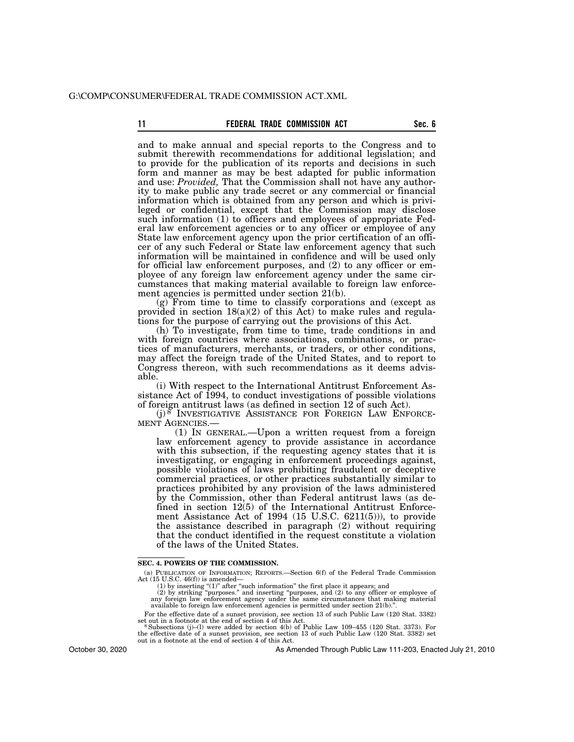# **11 EDERAL TRADE COMMISSION ACT** Sec. 6

and to make annual and special reports to the Congress and to submit therewith recommendations for additional legislation; and to provide for the publication of its reports and decisions in such form and manner as may be best adapted for public information and use: *Provided,* That the Commission shall not have any authority to make public any trade secret or any commercial or financial information which is obtained from any person and which is privileged or confidential, except that the Commission may disclose such information (1) to officers and employees of appropriate Federal law enforcement agencies or to any officer or employee of any State law enforcement agency upon the prior certification of an officer of any such Federal or State law enforcement agency that such information will be maintained in confidence and will be used only for official law enforcement purposes, and (2) to any officer or employee of any foreign law enforcement agency under the same circumstances that making material available to foreign law enforcement agencies is permitted under section 21(b).

(g) From time to time to classify corporations and (except as provided in section  $18(a)(2)$  of this Act) to make rules and regulations for the purpose of carrying out the provisions of this Act.

(h) To investigate, from time to time, trade conditions in and with foreign countries where associations, combinations, or practices of manufacturers, merchants, or traders, or other conditions, may affect the foreign trade of the United States, and to report to Congress thereon, with such recommendations as it deems advisable.

(i) With respect to the International Antitrust Enforcement Assistance Act of 1994, to conduct investigations of possible violations of foreign antitrust laws (as defined in section 12 of such Act).

 $(j)^{\widetilde{8}}$  INVESTIGATIVE ASSISTANCE FOR FOREIGN LAW ENFORCEMENT AGENCIES.—

 $(1)$  In GENERAL.—Upon a written request from a foreign law enforcement agency to provide assistance in accordance with this subsection, if the requesting agency states that it is investigating, or engaging in enforcement proceedings against, possible violations of laws prohibiting fraudulent or deceptive commercial practices, or other practices substantially similar to practices prohibited by any provision of the laws administered by the Commission, other than Federal antitrust laws (as defined in section 12(5) of the International Antitrust Enforcement Assistance Act of 1994 (15 U.S.C. 6211(5))), to provide the assistance described in paragraph (2) without requiring that the conduct identified in the request constitute a violation of the laws of the United States.

#### **SEC. 4. POWERS OF THE COMMISSION.**

(a) PUBLICATION OF INFORMATION; REPORTS.—Section 6(f) of the Federal Trade Commission

Act (15 U.S.C. 46(f)) is amended—<br>(1) by inserting "(1)" after "such information" the first place it appears; and<br>(2) by striking "purposes." and inserting "purposes, and (2) to any officer or employee of<br>any foreign law

For the effective date of a sunset provision, see section 13 of such Public Law (120 Stat. 3382)

set out in a footnote at the end of section 4 of this Act.<br>
<sup>8</sup> Subsections (j)-(1) were added by section 4(b) of Public Law 109–455 (120 Stat. 3373). For the effective date of a sunset provision, see section 13 of such Pu

October 30, 2020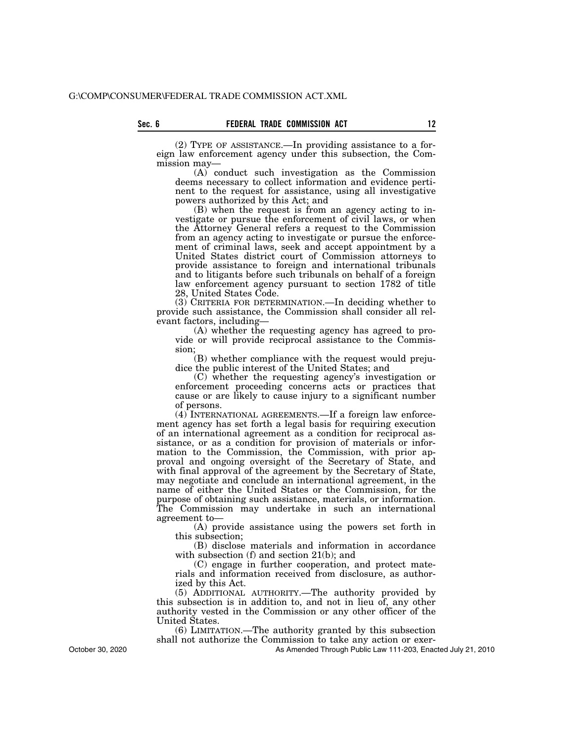(2) TYPE OF ASSISTANCE.—In providing assistance to a foreign law enforcement agency under this subsection, the Commission may—

(A) conduct such investigation as the Commission deems necessary to collect information and evidence pertinent to the request for assistance, using all investigative powers authorized by this Act; and

(B) when the request is from an agency acting to investigate or pursue the enforcement of civil laws, or when the Attorney General refers a request to the Commission from an agency acting to investigate or pursue the enforcement of criminal laws, seek and accept appointment by a United States district court of Commission attorneys to provide assistance to foreign and international tribunals and to litigants before such tribunals on behalf of a foreign law enforcement agency pursuant to section 1782 of title 28, United States Code.

(3) CRITERIA FOR DETERMINATION.—In deciding whether to provide such assistance, the Commission shall consider all relevant factors, including—

(A) whether the requesting agency has agreed to provide or will provide reciprocal assistance to the Commission;

(B) whether compliance with the request would prejudice the public interest of the United States; and

(C) whether the requesting agency's investigation or enforcement proceeding concerns acts or practices that cause or are likely to cause injury to a significant number of persons.

(4) INTERNATIONAL AGREEMENTS.—If a foreign law enforcement agency has set forth a legal basis for requiring execution of an international agreement as a condition for reciprocal assistance, or as a condition for provision of materials or information to the Commission, the Commission, with prior approval and ongoing oversight of the Secretary of State, and with final approval of the agreement by the Secretary of State, may negotiate and conclude an international agreement, in the name of either the United States or the Commission, for the purpose of obtaining such assistance, materials, or information. The Commission may undertake in such an international agreement to—

(A) provide assistance using the powers set forth in this subsection;

(B) disclose materials and information in accordance with subsection (f) and section 21(b); and

(C) engage in further cooperation, and protect materials and information received from disclosure, as authorized by this Act.

(5) ADDITIONAL AUTHORITY.—The authority provided by this subsection is in addition to, and not in lieu of, any other authority vested in the Commission or any other officer of the United States.

(6) LIMITATION.—The authority granted by this subsection shall not authorize the Commission to take any action or exer-

As Amended Through Public Law 111-203, Enacted July 21, 2010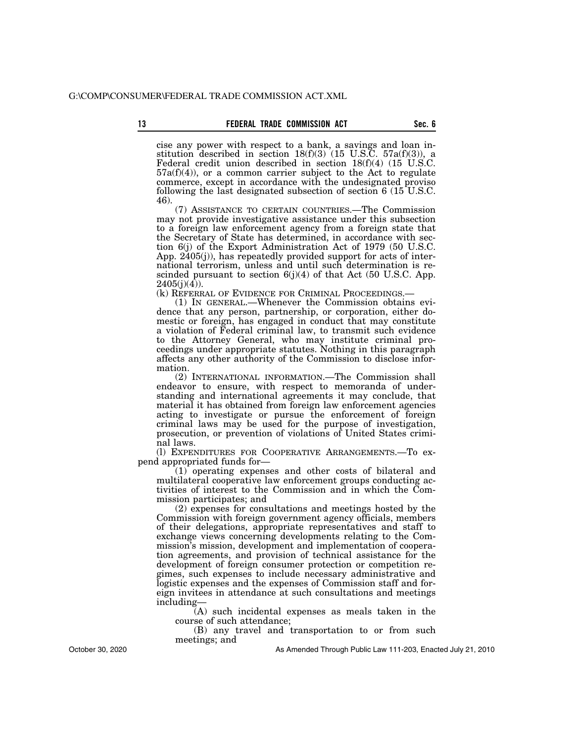cise any power with respect to a bank, a savings and loan institution described in section 18(f)(3) (15 U.S.C. 57a(f)(3)), a Federal credit union described in section 18(f)(4) (15 U.S.C.  $57a(f)(4)$ , or a common carrier subject to the Act to regulate commerce, except in accordance with the undesignated proviso following the last designated subsection of section 6 (15 U.S.C. 46).

(7) ASSISTANCE TO CERTAIN COUNTRIES.—The Commission may not provide investigative assistance under this subsection to a foreign law enforcement agency from a foreign state that the Secretary of State has determined, in accordance with section 6(j) of the Export Administration Act of 1979 (50 U.S.C. App. 2405(j)), has repeatedly provided support for acts of international terrorism, unless and until such determination is rescinded pursuant to section  $6(j)(4)$  of that Act (50 U.S.C. App. 2405(j)(4)).<br>(k) Referral of Evidence for Criminal Proceedings.—

(1) IN GENERAL.—Whenever the Commission obtains evidence that any person, partnership, or corporation, either domestic or foreign, has engaged in conduct that may constitute a violation of Federal criminal law, to transmit such evidence to the Attorney General, who may institute criminal proceedings under appropriate statutes. Nothing in this paragraph affects any other authority of the Commission to disclose information.

(2) INTERNATIONAL INFORMATION.—The Commission shall endeavor to ensure, with respect to memoranda of understanding and international agreements it may conclude, that material it has obtained from foreign law enforcement agencies acting to investigate or pursue the enforcement of foreign criminal laws may be used for the purpose of investigation, prosecution, or prevention of violations of United States criminal laws.

(l) EXPENDITURES FOR COOPERATIVE ARRANGEMENTS.—To expend appropriated funds for—

(1) operating expenses and other costs of bilateral and multilateral cooperative law enforcement groups conducting activities of interest to the Commission and in which the Commission participates; and

(2) expenses for consultations and meetings hosted by the Commission with foreign government agency officials, members of their delegations, appropriate representatives and staff to exchange views concerning developments relating to the Commission's mission, development and implementation of cooperation agreements, and provision of technical assistance for the development of foreign consumer protection or competition regimes, such expenses to include necessary administrative and logistic expenses and the expenses of Commission staff and foreign invitees in attendance at such consultations and meetings including—

(A) such incidental expenses as meals taken in the course of such attendance;

(B) any travel and transportation to or from such meetings; and

As Amended Through Public Law 111-203, Enacted July 21, 2010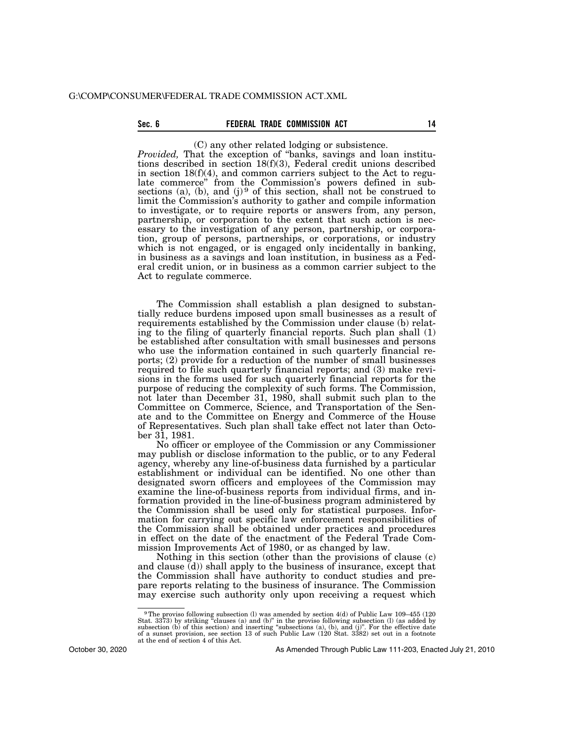# Sec. 6 **FEDERAL TRADE COMMISSION ACT** 14

(C) any other related lodging or subsistence. *Provided,* That the exception of ''banks, savings and loan institutions described in section 18(f)(3), Federal credit unions described in section 18(f)(4), and common carriers subject to the Act to regulate commerce'' from the Commission's powers defined in subsections (a), (b), and (j)<sup>9</sup> of this section, shall not be construed to limit the Commission's authority to gather and compile information to investigate, or to require reports or answers from, any person, partnership, or corporation to the extent that such action is necessary to the investigation of any person, partnership, or corporation, group of persons, partnerships, or corporations, or industry which is not engaged, or is engaged only incidentally in banking, in business as a savings and loan institution, in business as a Federal credit union, or in business as a common carrier subject to the Act to regulate commerce.

The Commission shall establish a plan designed to substantially reduce burdens imposed upon small businesses as a result of requirements established by the Commission under clause (b) relating to the filing of quarterly financial reports. Such plan shall (1) be established after consultation with small businesses and persons who use the information contained in such quarterly financial reports; (2) provide for a reduction of the number of small businesses required to file such quarterly financial reports; and (3) make revisions in the forms used for such quarterly financial reports for the purpose of reducing the complexity of such forms. The Commission, not later than December 31, 1980, shall submit such plan to the Committee on Commerce, Science, and Transportation of the Senate and to the Committee on Energy and Commerce of the House of Representatives. Such plan shall take effect not later than October 31, 1981.

No officer or employee of the Commission or any Commissioner may publish or disclose information to the public, or to any Federal agency, whereby any line-of-business data furnished by a particular establishment or individual can be identified. No one other than designated sworn officers and employees of the Commission may examine the line-of-business reports from individual firms, and information provided in the line-of-business program administered by the Commission shall be used only for statistical purposes. Information for carrying out specific law enforcement responsibilities of the Commission shall be obtained under practices and procedures in effect on the date of the enactment of the Federal Trade Commission Improvements Act of 1980, or as changed by law.

Nothing in this section (other than the provisions of clause (c) and clause  $(d)$ ) shall apply to the business of insurance, except that the Commission shall have authority to conduct studies and prepare reports relating to the business of insurance. The Commission may exercise such authority only upon receiving a request which

October 30, 2020

<sup>9</sup>The proviso following subsection (l) was amended by section 4(d) of Public Law 109–455 (120 Stat. 3373) by striking "clauses (a) and (b)" in the proviso following subsection (l) (as added by<br>subsection (b) of this section) and inserting "subsections (a), (b), and (j)". For the effective date<br>of a sunset provision at the end of section 4 of this Act.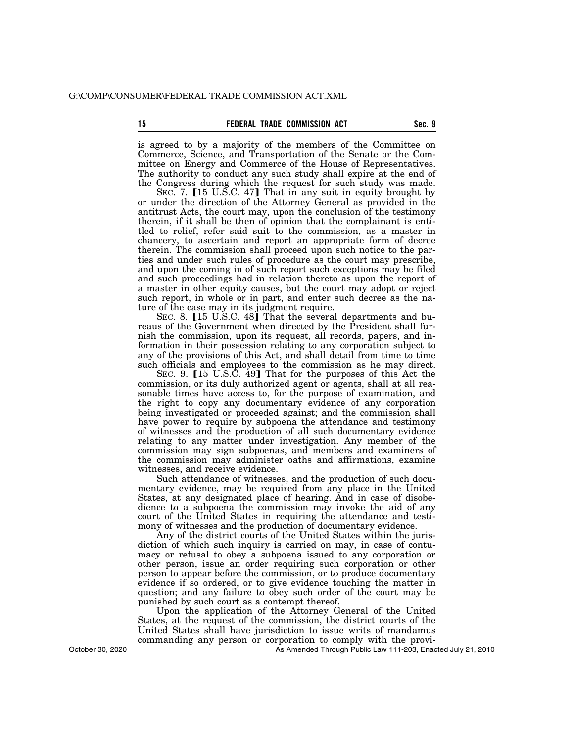is agreed to by a majority of the members of the Committee on Commerce, Science, and Transportation of the Senate or the Committee on Energy and Commerce of the House of Representatives. The authority to conduct any such study shall expire at the end of the Congress during which the request for such study was made.<br>SEC. 7. [15 U.S.C. 47] That in any suit in equity brought by

or under the direction of the Attorney General as provided in the antitrust Acts, the court may, upon the conclusion of the testimony therein, if it shall be then of opinion that the complainant is entitled to relief, refer said suit to the commission, as a master in chancery, to ascertain and report an appropriate form of decree therein. The commission shall proceed upon such notice to the parties and under such rules of procedure as the court may prescribe, and upon the coming in of such report such exceptions may be filed and such proceedings had in relation thereto as upon the report of a master in other equity causes, but the court may adopt or reject such report, in whole or in part, and enter such decree as the nature of the case may in its judgment require.

SEC. 8.  $[15 \text{ U.S.C. } 48]$  That the several departments and bureaus of the Government when directed by the President shall furnish the commission, upon its request, all records, papers, and information in their possession relating to any corporation subject to any of the provisions of this Act, and shall detail from time to time such officials and employees to the commission as he may direct.

SEC. 9. [15 U.S.C. 49] That for the purposes of this Act the commission, or its duly authorized agent or agents, shall at all reasonable times have access to, for the purpose of examination, and the right to copy any documentary evidence of any corporation being investigated or proceeded against; and the commission shall have power to require by subpoena the attendance and testimony of witnesses and the production of all such documentary evidence relating to any matter under investigation. Any member of the commission may sign subpoenas, and members and examiners of the commission may administer oaths and affirmations, examine witnesses, and receive evidence.

Such attendance of witnesses, and the production of such documentary evidence, may be required from any place in the United States, at any designated place of hearing. And in case of disobedience to a subpoena the commission may invoke the aid of any court of the United States in requiring the attendance and testimony of witnesses and the production of documentary evidence.

Any of the district courts of the United States within the jurisdiction of which such inquiry is carried on may, in case of contumacy or refusal to obey a subpoena issued to any corporation or other person, issue an order requiring such corporation or other person to appear before the commission, or to produce documentary evidence if so ordered, or to give evidence touching the matter in question; and any failure to obey such order of the court may be punished by such court as a contempt thereof.

Upon the application of the Attorney General of the United States, at the request of the commission, the district courts of the United States shall have jurisdiction to issue writs of mandamus commanding any person or corporation to comply with the provi-

As Amended Through Public Law 111-203, Enacted July 21, 2010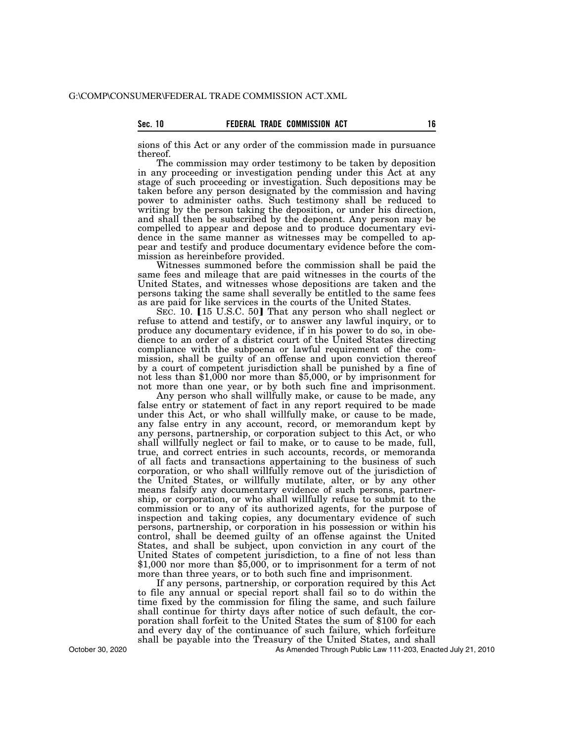sions of this Act or any order of the commission made in pursuance thereof.

The commission may order testimony to be taken by deposition in any proceeding or investigation pending under this Act at any stage of such proceeding or investigation. Such depositions may be taken before any person designated by the commission and having power to administer oaths. Such testimony shall be reduced to writing by the person taking the deposition, or under his direction, and shall then be subscribed by the deponent. Any person may be compelled to appear and depose and to produce documentary evidence in the same manner as witnesses may be compelled to appear and testify and produce documentary evidence before the commission as hereinbefore provided.

Witnesses summoned before the commission shall be paid the same fees and mileage that are paid witnesses in the courts of the United States, and witnesses whose depositions are taken and the persons taking the same shall severally be entitled to the same fees as are paid for like services in the courts of the United States.

SEC. 10. [15 U.S.C. 50] That any person who shall neglect or refuse to attend and testify, or to answer any lawful inquiry, or to produce any documentary evidence, if in his power to do so, in obedience to an order of a district court of the United States directing compliance with the subpoena or lawful requirement of the commission, shall be guilty of an offense and upon conviction thereof by a court of competent jurisdiction shall be punished by a fine of not less than \$1,000 nor more than \$5,000, or by imprisonment for not more than one year, or by both such fine and imprisonment.

Any person who shall willfully make, or cause to be made, any false entry or statement of fact in any report required to be made under this Act, or who shall willfully make, or cause to be made, any false entry in any account, record, or memorandum kept by any persons, partnership, or corporation subject to this Act, or who shall willfully neglect or fail to make, or to cause to be made, full, true, and correct entries in such accounts, records, or memoranda of all facts and transactions appertaining to the business of such corporation, or who shall willfully remove out of the jurisdiction of the United States, or willfully mutilate, alter, or by any other means falsify any documentary evidence of such persons, partnership, or corporation, or who shall willfully refuse to submit to the commission or to any of its authorized agents, for the purpose of inspection and taking copies, any documentary evidence of such persons, partnership, or corporation in his possession or within his control, shall be deemed guilty of an offense against the United States, and shall be subject, upon conviction in any court of the United States of competent jurisdiction, to a fine of not less than \$1,000 nor more than \$5,000, or to imprisonment for a term of not more than three years, or to both such fine and imprisonment.

If any persons, partnership, or corporation required by this Act to file any annual or special report shall fail so to do within the time fixed by the commission for filing the same, and such failure shall continue for thirty days after notice of such default, the corporation shall forfeit to the United States the sum of \$100 for each and every day of the continuance of such failure, which forfeiture shall be payable into the Treasury of the United States, and shall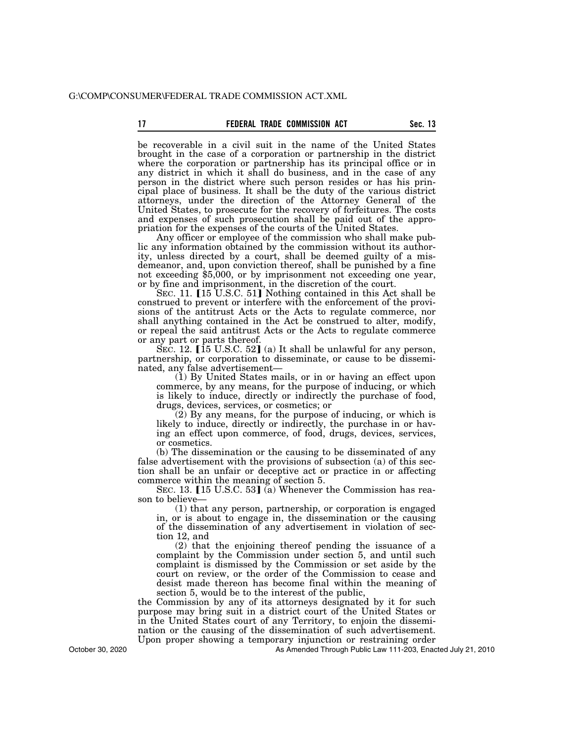be recoverable in a civil suit in the name of the United States brought in the case of a corporation or partnership in the district where the corporation or partnership has its principal office or in any district in which it shall do business, and in the case of any person in the district where such person resides or has his principal place of business. It shall be the duty of the various district attorneys, under the direction of the Attorney General of the United States, to prosecute for the recovery of forfeitures. The costs and expenses of such prosecution shall be paid out of the appropriation for the expenses of the courts of the United States.

Any officer or employee of the commission who shall make public any information obtained by the commission without its authority, unless directed by a court, shall be deemed guilty of a misdemeanor, and, upon conviction thereof, shall be punished by a fine not exceeding \$5,000, or by imprisonment not exceeding one year, or by fine and imprisonment, in the discretion of the court.

SEC. 11. [15 U.S.C. 51] Nothing contained in this Act shall be construed to prevent or interfere with the enforcement of the provisions of the antitrust Acts or the Acts to regulate commerce, nor shall anything contained in the Act be construed to alter, modify, or repeal the said antitrust Acts or the Acts to regulate commerce or any part or parts thereof.

 $\overline{\text{Sec}}$ . 12. [15 U.S.C. 52] (a) It shall be unlawful for any person, partnership, or corporation to disseminate, or cause to be disseminated, any false advertisement—

(1) By United States mails, or in or having an effect upon commerce, by any means, for the purpose of inducing, or which is likely to induce, directly or indirectly the purchase of food, drugs, devices, services, or cosmetics; or

(2) By any means, for the purpose of inducing, or which is likely to induce, directly or indirectly, the purchase in or having an effect upon commerce, of food, drugs, devices, services, or cosmetics.

(b) The dissemination or the causing to be disseminated of any false advertisement with the provisions of subsection (a) of this section shall be an unfair or deceptive act or practice in or affecting commerce within the meaning of section 5.

SEC. 13.  $[15 \text{ U.S.C. } 53]$  (a) Whenever the Commission has reason to believe—

(1) that any person, partnership, or corporation is engaged in, or is about to engage in, the dissemination or the causing of the dissemination of any advertisement in violation of section 12, and

(2) that the enjoining thereof pending the issuance of a complaint by the Commission under section 5, and until such complaint is dismissed by the Commission or set aside by the court on review, or the order of the Commission to cease and desist made thereon has become final within the meaning of section 5, would be to the interest of the public,

the Commission by any of its attorneys designated by it for such purpose may bring suit in a district court of the United States or in the United States court of any Territory, to enjoin the dissemination or the causing of the dissemination of such advertisement.

Upon proper showing a temporary injunction or restraining order

As Amended Through Public Law 111-203, Enacted July 21, 2010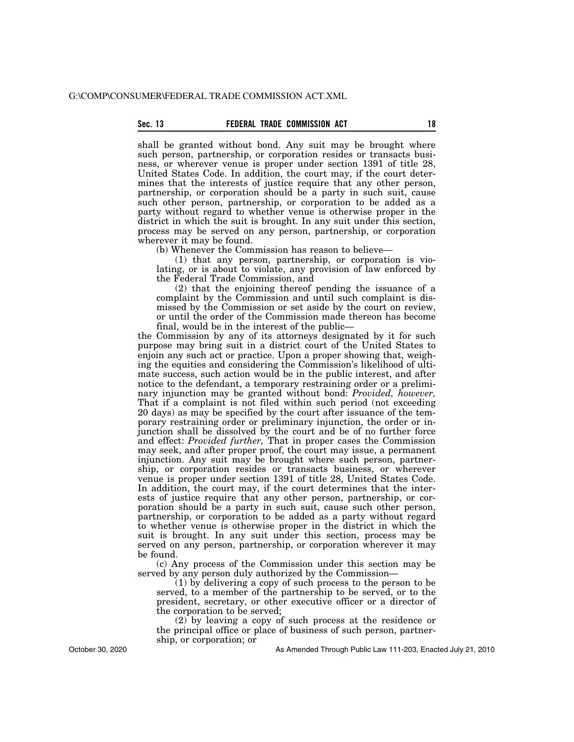# Sec. 13 **FEDERAL TRADE COMMISSION ACT** 18

shall be granted without bond. Any suit may be brought where such person, partnership, or corporation resides or transacts business, or wherever venue is proper under section 1391 of title 28, United States Code. In addition, the court may, if the court determines that the interests of justice require that any other person, partnership, or corporation should be a party in such suit, cause such other person, partnership, or corporation to be added as a party without regard to whether venue is otherwise proper in the district in which the suit is brought. In any suit under this section, process may be served on any person, partnership, or corporation wherever it may be found.

(b) Whenever the Commission has reason to believe—

(1) that any person, partnership, or corporation is violating, or is about to violate, any provision of law enforced by the Federal Trade Commission, and

(2) that the enjoining thereof pending the issuance of a complaint by the Commission and until such complaint is dismissed by the Commission or set aside by the court on review, or until the order of the Commission made thereon has become final, would be in the interest of the public—

the Commission by any of its attorneys designated by it for such purpose may bring suit in a district court of the United States to enjoin any such act or practice. Upon a proper showing that, weighing the equities and considering the Commission's likelihood of ultimate success, such action would be in the public interest, and after notice to the defendant, a temporary restraining order or a preliminary injunction may be granted without bond: *Provided, however,*  That if a complaint is not filed within such period (not exceeding 20 days) as may be specified by the court after issuance of the temporary restraining order or preliminary injunction, the order or injunction shall be dissolved by the court and be of no further force and effect: *Provided further,* That in proper cases the Commission may seek, and after proper proof, the court may issue, a permanent injunction. Any suit may be brought where such person, partnership, or corporation resides or transacts business, or wherever venue is proper under section 1391 of title 28, United States Code. In addition, the court may, if the court determines that the interests of justice require that any other person, partnership, or corporation should be a party in such suit, cause such other person, partnership, or corporation to be added as a party without regard to whether venue is otherwise proper in the district in which the suit is brought. In any suit under this section, process may be served on any person, partnership, or corporation wherever it may be found.

(c) Any process of the Commission under this section may be served by any person duly authorized by the Commission—

(1) by delivering a copy of such process to the person to be served, to a member of the partnership to be served, or to the president, secretary, or other executive officer or a director of the corporation to be served;

(2) by leaving a copy of such process at the residence or the principal office or place of business of such person, partnership, or corporation; or

As Amended Through Public Law 111-203, Enacted July 21, 2010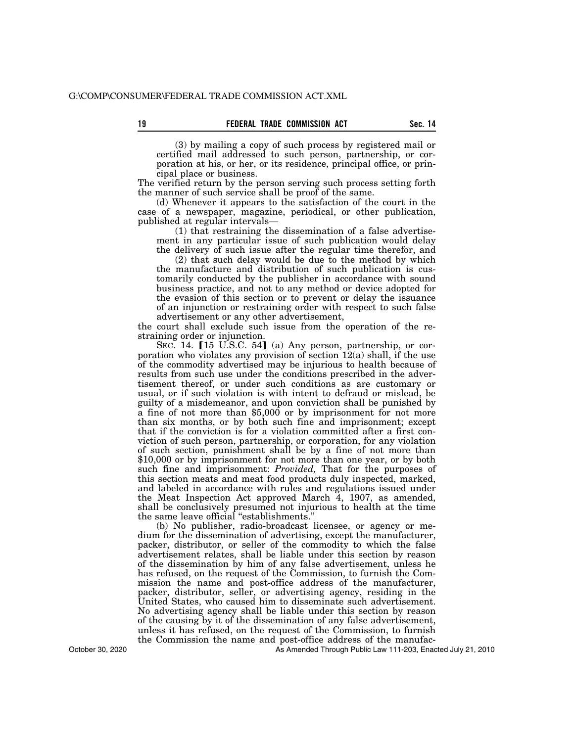(3) by mailing a copy of such process by registered mail or certified mail addressed to such person, partnership, or corporation at his, or her, or its residence, principal office, or principal place or business.

The verified return by the person serving such process setting forth the manner of such service shall be proof of the same.

(d) Whenever it appears to the satisfaction of the court in the case of a newspaper, magazine, periodical, or other publication, published at regular intervals—

(1) that restraining the dissemination of a false advertisement in any particular issue of such publication would delay the delivery of such issue after the regular time therefor, and

(2) that such delay would be due to the method by which the manufacture and distribution of such publication is customarily conducted by the publisher in accordance with sound business practice, and not to any method or device adopted for the evasion of this section or to prevent or delay the issuance of an injunction or restraining order with respect to such false advertisement or any other advertisement,

the court shall exclude such issue from the operation of the restraining order or injunction.

SEC. 14.  $[15 \text{ U.S.C. } 54]$  (a) Any person, partnership, or corporation who violates any provision of section  $12(a)$  shall, if the use of the commodity advertised may be injurious to health because of results from such use under the conditions prescribed in the advertisement thereof, or under such conditions as are customary or usual, or if such violation is with intent to defraud or mislead, be guilty of a misdemeanor, and upon conviction shall be punished by a fine of not more than \$5,000 or by imprisonment for not more than six months, or by both such fine and imprisonment; except that if the conviction is for a violation committed after a first conviction of such person, partnership, or corporation, for any violation of such section, punishment shall be by a fine of not more than \$10,000 or by imprisonment for not more than one year, or by both such fine and imprisonment: *Provided,* That for the purposes of this section meats and meat food products duly inspected, marked, and labeled in accordance with rules and regulations issued under the Meat Inspection Act approved March 4, 1907, as amended, shall be conclusively presumed not injurious to health at the time the same leave official ''establishments.''

(b) No publisher, radio-broadcast licensee, or agency or medium for the dissemination of advertising, except the manufacturer, packer, distributor, or seller of the commodity to which the false advertisement relates, shall be liable under this section by reason of the dissemination by him of any false advertisement, unless he has refused, on the request of the Commission, to furnish the Commission the name and post-office address of the manufacturer, packer, distributor, seller, or advertising agency, residing in the United States, who caused him to disseminate such advertisement. No advertising agency shall be liable under this section by reason of the causing by it of the dissemination of any false advertisement, unless it has refused, on the request of the Commission, to furnish the Commission the name and post-office address of the manufac-

As Amended Through Public Law 111-203, Enacted July 21, 2010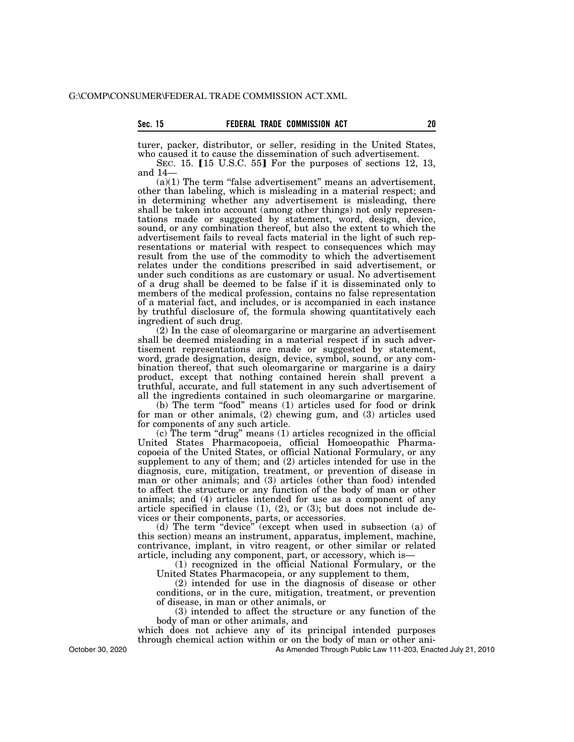turer, packer, distributor, or seller, residing in the United States, who caused it to cause the dissemination of such advertisement.

SEC. 15.  $[15 \text{ U.S.C. } 55]$  For the purposes of sections 12, 13, and 14—

 $(a)(1)$  The term "false advertisement" means an advertisement, other than labeling, which is misleading in a material respect; and in determining whether any advertisement is misleading, there shall be taken into account (among other things) not only representations made or suggested by statement, word, design, device, sound, or any combination thereof, but also the extent to which the advertisement fails to reveal facts material in the light of such representations or material with respect to consequences which may result from the use of the commodity to which the advertisement relates under the conditions prescribed in said advertisement, or under such conditions as are customary or usual. No advertisement of a drug shall be deemed to be false if it is disseminated only to members of the medical profession, contains no false representation of a material fact, and includes, or is accompanied in each instance by truthful disclosure of, the formula showing quantitatively each ingredient of such drug.

(2) In the case of oleomargarine or margarine an advertisement shall be deemed misleading in a material respect if in such advertisement representations are made or suggested by statement, word, grade designation, design, device, symbol, sound, or any combination thereof, that such oleomargarine or margarine is a dairy product, except that nothing contained herein shall prevent a truthful, accurate, and full statement in any such advertisement of all the ingredients contained in such oleomargarine or margarine.

(b) The term "food" means (1) articles used for food or drink for man or other animals, (2) chewing gum, and (3) articles used for components of any such article.

(c) The term ''drug'' means (1) articles recognized in the official United States Pharmacopoeia, official Homoeopathic Pharmacopoeia of the United States, or official National Formulary, or any supplement to any of them; and (2) articles intended for use in the diagnosis, cure, mitigation, treatment, or prevention of disease in man or other animals; and (3) articles (other than food) intended to affect the structure or any function of the body of man or other animals; and (4) articles intended for use as a component of any article specified in clause (1), (2), or (3); but does not include devices or their components, parts, or accessories.

(d) The term ''device'' (except when used in subsection (a) of this section) means an instrument, apparatus, implement, machine, contrivance, implant, in vitro reagent, or other similar or related article, including any component, part, or accessory, which is—

(1) recognized in the official National Formulary, or the United States Pharmacopeia, or any supplement to them,

(2) intended for use in the diagnosis of disease or other conditions, or in the cure, mitigation, treatment, or prevention of disease, in man or other animals, or

(3) intended to affect the structure or any function of the body of man or other animals, and

which does not achieve any of its principal intended purposes through chemical action within or on the body of man or other ani-

As Amended Through Public Law 111-203, Enacted July 21, 2010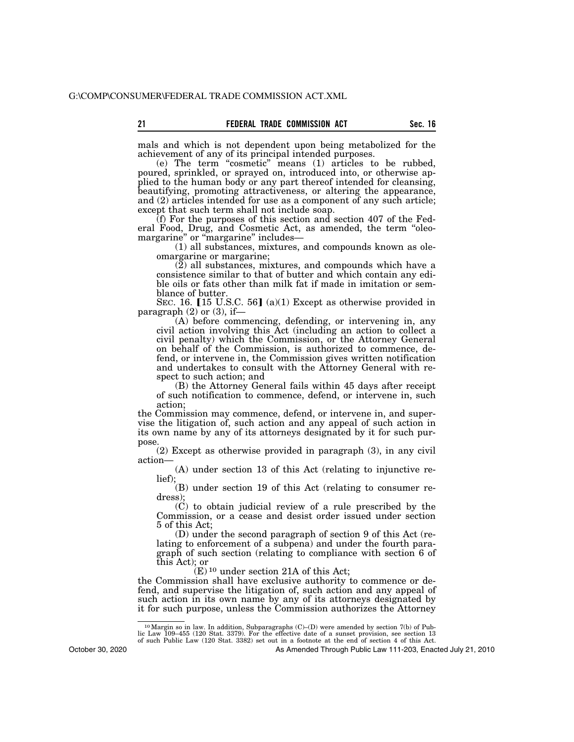mals and which is not dependent upon being metabolized for the achievement of any of its principal intended purposes.

(e) The term ''cosmetic'' means (1) articles to be rubbed, poured, sprinkled, or sprayed on, introduced into, or otherwise applied to the human body or any part thereof intended for cleansing, beautifying, promoting attractiveness, or altering the appearance, and (2) articles intended for use as a component of any such article; except that such term shall not include soap.

(f) For the purposes of this section and section 407 of the Federal Food, Drug, and Cosmetic Act, as amended, the term ''oleomargarine" or "margarine" includes-

(1) all substances, mixtures, and compounds known as oleomargarine or margarine;

 $(2)$  all substances, mixtures, and compounds which have a consistence similar to that of butter and which contain any edible oils or fats other than milk fat if made in imitation or semblance of butter.

SEC. 16.  $[15 \text{ U.S.C. } 56]$  (a)(1) Except as otherwise provided in paragraph  $(2)$  or  $(3)$ , if-

(A) before commencing, defending, or intervening in, any civil action involving this Act (including an action to collect a civil penalty) which the Commission, or the Attorney General on behalf of the Commission, is authorized to commence, defend, or intervene in, the Commission gives written notification and undertakes to consult with the Attorney General with respect to such action; and

(B) the Attorney General fails within 45 days after receipt of such notification to commence, defend, or intervene in, such action;

the Commission may commence, defend, or intervene in, and supervise the litigation of, such action and any appeal of such action in its own name by any of its attorneys designated by it for such purpose.

(2) Except as otherwise provided in paragraph (3), in any civil action—

(A) under section 13 of this Act (relating to injunctive relief);

(B) under section 19 of this Act (relating to consumer redress);

 $(C)$  to obtain judicial review of a rule prescribed by the Commission, or a cease and desist order issued under section 5 of this Act;

(D) under the second paragraph of section 9 of this Act (relating to enforcement of a subpena) and under the fourth paragraph of such section (relating to compliance with section 6 of this Act); or

 $(E)$ <sup>10</sup> under section 21A of this Act;

the Commission shall have exclusive authority to commence or defend, and supervise the litigation of, such action and any appeal of such action in its own name by any of its attorneys designated by it for such purpose, unless the Commission authorizes the Attorney

As Amended Through Public Law 111-203, Enacted July 21, 2010

<sup>&</sup>lt;sup>10</sup> Margin so in law. In addition, Subparagraphs  $(C)-(D)$  were amended by section 7(b) of Public Law 109–455 (120 Stat. 3379). For the effective date of a sunset provision, see section 13 of such Public Law (120 Stat. 3382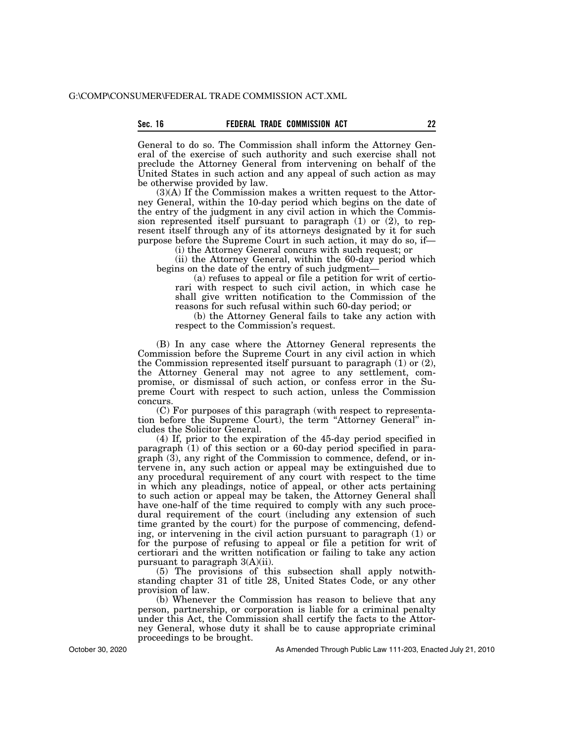#### **Sec. 16 FEDERAL TRADE COMMISSION ACT 22**

General to do so. The Commission shall inform the Attorney General of the exercise of such authority and such exercise shall not preclude the Attorney General from intervening on behalf of the United States in such action and any appeal of such action as may be otherwise provided by law.

(3)(A) If the Commission makes a written request to the Attorney General, within the 10-day period which begins on the date of the entry of the judgment in any civil action in which the Commission represented itself pursuant to paragraph (1) or (2), to represent itself through any of its attorneys designated by it for such purpose before the Supreme Court in such action, it may do so, if—

(i) the Attorney General concurs with such request; or

(ii) the Attorney General, within the 60-day period which begins on the date of the entry of such judgment—

(a) refuses to appeal or file a petition for writ of certiorari with respect to such civil action, in which case he shall give written notification to the Commission of the reasons for such refusal within such 60-day period; or

(b) the Attorney General fails to take any action with respect to the Commission's request.

(B) In any case where the Attorney General represents the Commission before the Supreme Court in any civil action in which the Commission represented itself pursuant to paragraph (1) or (2), the Attorney General may not agree to any settlement, compromise, or dismissal of such action, or confess error in the Supreme Court with respect to such action, unless the Commission concurs.

(C) For purposes of this paragraph (with respect to representation before the Supreme Court), the term ''Attorney General'' includes the Solicitor General.

(4) If, prior to the expiration of the 45-day period specified in paragraph (1) of this section or a 60-day period specified in paragraph (3), any right of the Commission to commence, defend, or intervene in, any such action or appeal may be extinguished due to any procedural requirement of any court with respect to the time in which any pleadings, notice of appeal, or other acts pertaining to such action or appeal may be taken, the Attorney General shall have one-half of the time required to comply with any such procedural requirement of the court (including any extension of such time granted by the court) for the purpose of commencing, defending, or intervening in the civil action pursuant to paragraph (1) or for the purpose of refusing to appeal or file a petition for writ of certiorari and the written notification or failing to take any action pursuant to paragraph 3(A)(ii).

(5) The provisions of this subsection shall apply notwithstanding chapter 31 of title 28, United States Code, or any other provision of law.

(b) Whenever the Commission has reason to believe that any person, partnership, or corporation is liable for a criminal penalty under this Act, the Commission shall certify the facts to the Attorney General, whose duty it shall be to cause appropriate criminal proceedings to be brought.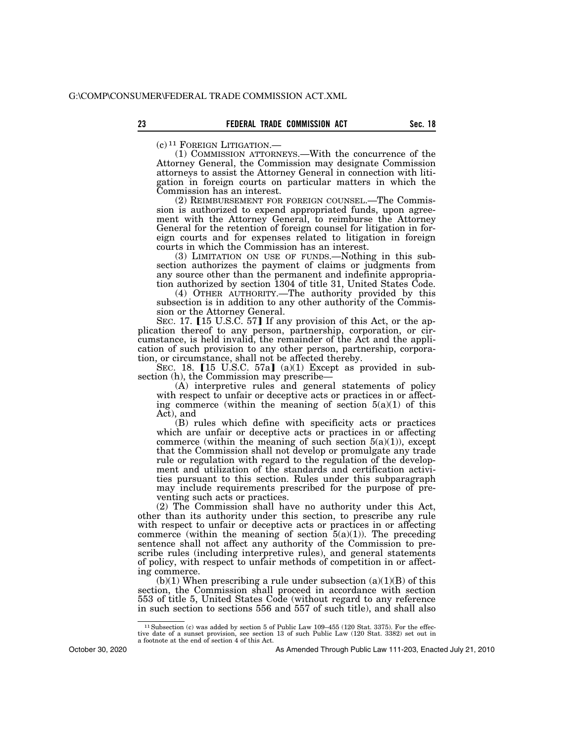(c) <sup>11</sup> FOREIGN LITIGATION.—<br>(1) COMMISSION ATTORNEYS.—With the concurrence of the Attorney General, the Commission may designate Commission attorneys to assist the Attorney General in connection with litigation in foreign courts on particular matters in which the Commission has an interest.

(2) REIMBURSEMENT FOR FOREIGN COUNSEL.—The Commission is authorized to expend appropriated funds, upon agreement with the Attorney General, to reimburse the Attorney General for the retention of foreign counsel for litigation in foreign courts and for expenses related to litigation in foreign courts in which the Commission has an interest.

(3) LIMITATION ON USE OF FUNDS.—Nothing in this subsection authorizes the payment of claims or judgments from any source other than the permanent and indefinite appropriation authorized by section 1304 of title 31, United States Code.

(4) OTHER AUTHORITY.—The authority provided by this subsection is in addition to any other authority of the Commission or the Attorney General.<br>SEC. 17. [15 U.S.C. 57] If any provision of this Act, or the ap-

plication thereof to any person, partnership, corporation, or circumstance, is held invalid, the remainder of the Act and the application of such provision to any other person, partnership, corporation, or circumstance, shall not be affected thereby.

SEC. 18.  $[15 \text{ U.S.C. } 57a]$  (a)(1) Except as provided in subsection (h), the Commission may prescribe—

(A) interpretive rules and general statements of policy with respect to unfair or deceptive acts or practices in or affecting commerce (within the meaning of section  $5(a)(1)$  of this Act), and

(B) rules which define with specificity acts or practices which are unfair or deceptive acts or practices in or affecting commerce (within the meaning of such section  $5(a)(1)$ ), except that the Commission shall not develop or promulgate any trade rule or regulation with regard to the regulation of the development and utilization of the standards and certification activities pursuant to this section. Rules under this subparagraph may include requirements prescribed for the purpose of preventing such acts or practices.

(2) The Commission shall have no authority under this Act, other than its authority under this section, to prescribe any rule with respect to unfair or deceptive acts or practices in or affecting commerce (within the meaning of section  $5(a)(1)$ ). The preceding sentence shall not affect any authority of the Commission to prescribe rules (including interpretive rules), and general statements of policy, with respect to unfair methods of competition in or affecting commerce.

 $(b)(1)$  When prescribing a rule under subsection  $(a)(1)(B)$  of this section, the Commission shall proceed in accordance with section 553 of title 5, United States Code (without regard to any reference in such section to sections 556 and 557 of such title), and shall also

a footnote at the end of section 4 of this Act.

October 30, 2020

<sup>11</sup>Subsection (c) was added by section 5 of Public Law 109–455 (120 Stat. 3375). For the effec-tive date of a sunset provision, see section 13 of such Public Law (120 Stat. 3382) set out in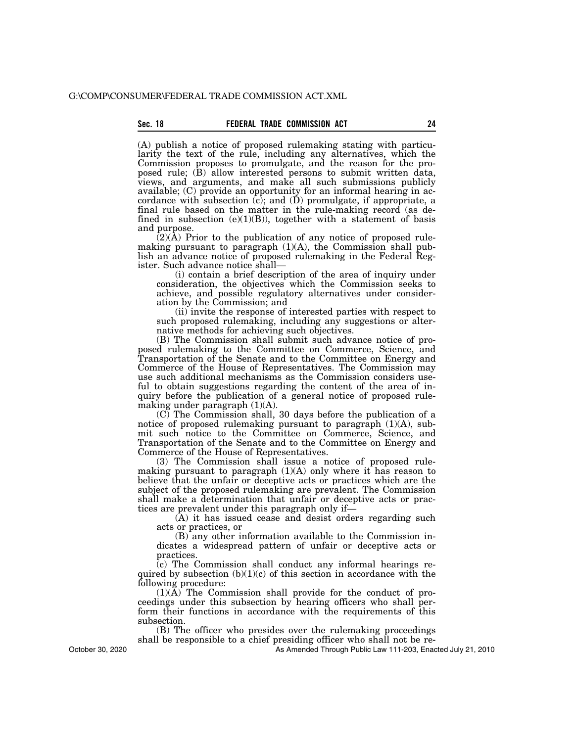(A) publish a notice of proposed rulemaking stating with particularity the text of the rule, including any alternatives, which the Commission proposes to promulgate, and the reason for the proposed rule; (B) allow interested persons to submit written data, views, and arguments, and make all such submissions publicly available; (C) provide an opportunity for an informal hearing in accordance with subsection  $(c)$ ; and  $(D)$  promulgate, if appropriate, a final rule based on the matter in the rule-making record (as defined in subsection  $(e)(1)(B)$ , together with a statement of basis and purpose.

 $(2)(\overline{A})$  Prior to the publication of any notice of proposed rulemaking pursuant to paragraph (1)(A), the Commission shall publish an advance notice of proposed rulemaking in the Federal Register. Such advance notice shall—

(i) contain a brief description of the area of inquiry under consideration, the objectives which the Commission seeks to achieve, and possible regulatory alternatives under consideration by the Commission; and

(ii) invite the response of interested parties with respect to such proposed rulemaking, including any suggestions or alternative methods for achieving such objectives.

(B) The Commission shall submit such advance notice of proposed rulemaking to the Committee on Commerce, Science, and Transportation of the Senate and to the Committee on Energy and Commerce of the House of Representatives. The Commission may use such additional mechanisms as the Commission considers useful to obtain suggestions regarding the content of the area of inquiry before the publication of a general notice of proposed rulemaking under paragraph  $(1)(A)$ .

(C) The Commission shall, 30 days before the publication of a notice of proposed rulemaking pursuant to paragraph (1)(A), submit such notice to the Committee on Commerce, Science, and Transportation of the Senate and to the Committee on Energy and Commerce of the House of Representatives.

(3) The Commission shall issue a notice of proposed rulemaking pursuant to paragraph  $(1)(A)$  only where it has reason to believe that the unfair or deceptive acts or practices which are the subject of the proposed rulemaking are prevalent. The Commission shall make a determination that unfair or deceptive acts or practices are prevalent under this paragraph only if—

(A) it has issued cease and desist orders regarding such acts or practices, or

(B) any other information available to the Commission indicates a widespread pattern of unfair or deceptive acts or practices.

 $\overline{c}$  (c) The Commission shall conduct any informal hearings required by subsection  $(b)(1)(c)$  of this section in accordance with the following procedure:

 $(1)(\overline{A})$  The Commission shall provide for the conduct of proceedings under this subsection by hearing officers who shall perform their functions in accordance with the requirements of this subsection.

(B) The officer who presides over the rulemaking proceedings shall be responsible to a chief presiding officer who shall not be re-

As Amended Through Public Law 111-203, Enacted July 21, 2010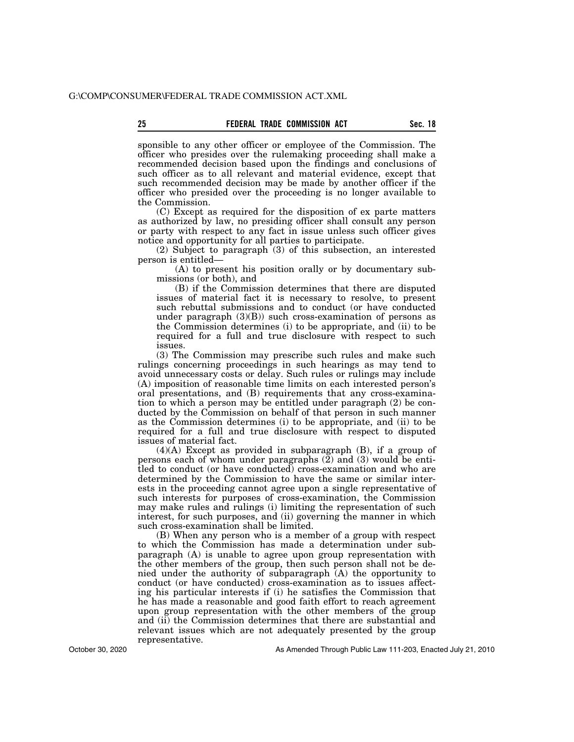sponsible to any other officer or employee of the Commission. The officer who presides over the rulemaking proceeding shall make a recommended decision based upon the findings and conclusions of such officer as to all relevant and material evidence, except that such recommended decision may be made by another officer if the officer who presided over the proceeding is no longer available to the Commission.

(C) Except as required for the disposition of ex parte matters as authorized by law, no presiding officer shall consult any person or party with respect to any fact in issue unless such officer gives notice and opportunity for all parties to participate.

(2) Subject to paragraph (3) of this subsection, an interested person is entitled—

(A) to present his position orally or by documentary submissions (or both), and

(B) if the Commission determines that there are disputed issues of material fact it is necessary to resolve, to present such rebuttal submissions and to conduct (or have conducted under paragraph  $(3)(B)$  such cross-examination of persons as the Commission determines (i) to be appropriate, and (ii) to be required for a full and true disclosure with respect to such issues.

(3) The Commission may prescribe such rules and make such rulings concerning proceedings in such hearings as may tend to avoid unnecessary costs or delay. Such rules or rulings may include (A) imposition of reasonable time limits on each interested person's oral presentations, and (B) requirements that any cross-examination to which a person may be entitled under paragraph (2) be conducted by the Commission on behalf of that person in such manner as the Commission determines (i) to be appropriate, and (ii) to be required for a full and true disclosure with respect to disputed issues of material fact.

(4)(A) Except as provided in subparagraph (B), if a group of persons each of whom under paragraphs  $(2)$  and  $(3)$  would be entitled to conduct (or have conducted) cross-examination and who are determined by the Commission to have the same or similar interests in the proceeding cannot agree upon a single representative of such interests for purposes of cross-examination, the Commission may make rules and rulings (i) limiting the representation of such interest, for such purposes, and (ii) governing the manner in which such cross-examination shall be limited.

(B) When any person who is a member of a group with respect to which the Commission has made a determination under subparagraph (A) is unable to agree upon group representation with the other members of the group, then such person shall not be denied under the authority of subparagraph (A) the opportunity to conduct (or have conducted) cross-examination as to issues affecting his particular interests if (i) he satisfies the Commission that he has made a reasonable and good faith effort to reach agreement upon group representation with the other members of the group and (ii) the Commission determines that there are substantial and relevant issues which are not adequately presented by the group representative.

October 30, 2020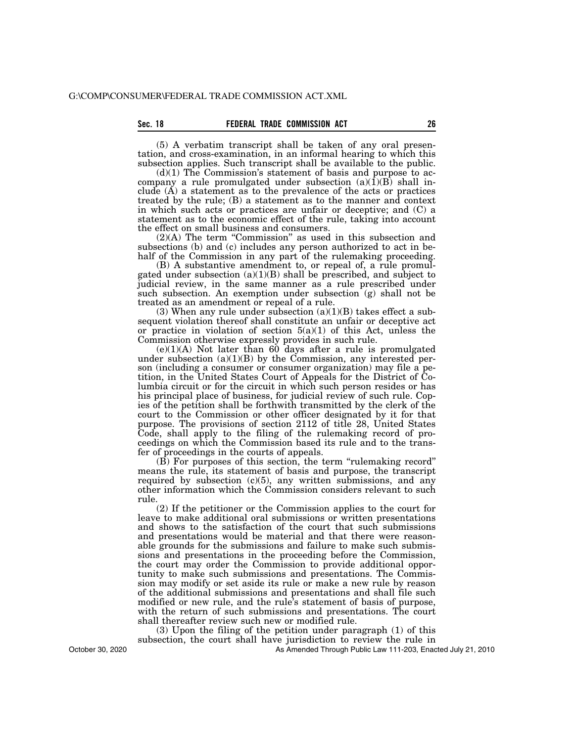(5) A verbatim transcript shall be taken of any oral presentation, and cross-examination, in an informal hearing to which this subsection applies. Such transcript shall be available to the public.

 $(d)(1)$  The Commission's statement of basis and purpose to accompany a rule promulgated under subsection  $(a)(1)(B)$  shall include (A) a statement as to the prevalence of the acts or practices treated by the rule; (B) a statement as to the manner and context in which such acts or practices are unfair or deceptive; and (C) a statement as to the economic effect of the rule, taking into account the effect on small business and consumers.

 $(2)(A)$  The term "Commission" as used in this subsection and subsections (b) and (c) includes any person authorized to act in behalf of the Commission in any part of the rulemaking proceeding.

(B) A substantive amendment to, or repeal of, a rule promulgated under subsection  $(a)(1)(B)$  shall be prescribed, and subject to judicial review, in the same manner as a rule prescribed under such subsection. An exemption under subsection (g) shall not be treated as an amendment or repeal of a rule.

(3) When any rule under subsection  $(a)(1)(B)$  takes effect a subsequent violation thereof shall constitute an unfair or deceptive act or practice in violation of section  $5(a)(1)$  of this Act, unless the Commission otherwise expressly provides in such rule.

 $(e)(1)(A)$  Not later than 60 days after a rule is promulgated under subsection  $(a)(1)(B)$  by the Commission, any interested person (including a consumer or consumer organization) may file a petition, in the United States Court of Appeals for the District of Columbia circuit or for the circuit in which such person resides or has his principal place of business, for judicial review of such rule. Copies of the petition shall be forthwith transmitted by the clerk of the court to the Commission or other officer designated by it for that purpose. The provisions of section 2112 of title 28, United States Code, shall apply to the filing of the rulemaking record of proceedings on which the Commission based its rule and to the transfer of proceedings in the courts of appeals.

(B) For purposes of this section, the term ''rulemaking record'' means the rule, its statement of basis and purpose, the transcript required by subsection (c)(5), any written submissions, and any other information which the Commission considers relevant to such rule.

(2) If the petitioner or the Commission applies to the court for leave to make additional oral submissions or written presentations and shows to the satisfaction of the court that such submissions and presentations would be material and that there were reasonable grounds for the submissions and failure to make such submissions and presentations in the proceeding before the Commission, the court may order the Commission to provide additional opportunity to make such submissions and presentations. The Commission may modify or set aside its rule or make a new rule by reason of the additional submissions and presentations and shall file such modified or new rule, and the rule's statement of basis of purpose, with the return of such submissions and presentations. The court shall thereafter review such new or modified rule.

(3) Upon the filing of the petition under paragraph (1) of this

subsection, the court shall have jurisdiction to review the rule in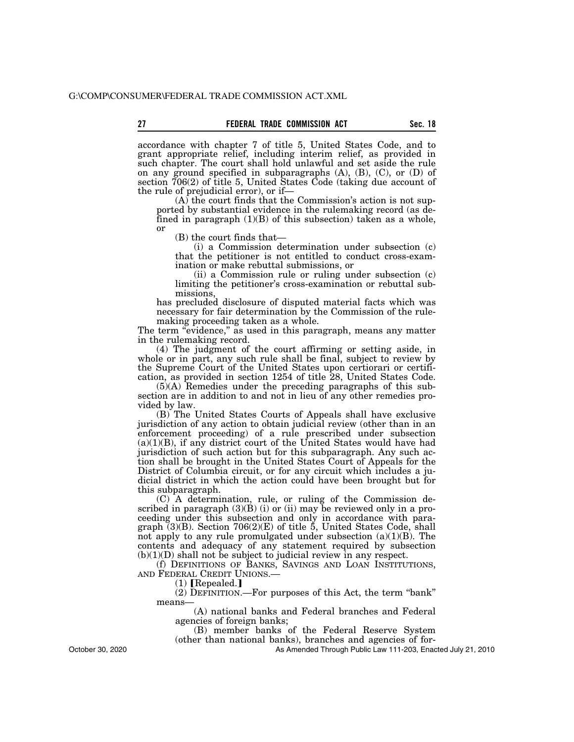accordance with chapter 7 of title 5, United States Code, and to grant appropriate relief, including interim relief, as provided in such chapter. The court shall hold unlawful and set aside the rule on any ground specified in subparagraphs (A), (B), (C), or (D) of section 706(2) of title 5, United States Code (taking due account of the rule of prejudicial error), or if—

(A) the court finds that the Commission's action is not supported by substantial evidence in the rulemaking record (as defined in paragraph  $(1)(B)$  of this subsection) taken as a whole, or

(B) the court finds that—

(i) a Commission determination under subsection (c) that the petitioner is not entitled to conduct cross-examination or make rebuttal submissions, or

(ii) a Commission rule or ruling under subsection (c) limiting the petitioner's cross-examination or rebuttal submissions,

has precluded disclosure of disputed material facts which was necessary for fair determination by the Commission of the rulemaking proceeding taken as a whole.

The term "evidence," as used in this paragraph, means any matter in the rulemaking record.

(4) The judgment of the court affirming or setting aside, in whole or in part, any such rule shall be final, subject to review by the Supreme Court of the United States upon certiorari or certification, as provided in section 1254 of title 28, United States Code.

(5)(A) Remedies under the preceding paragraphs of this subsection are in addition to and not in lieu of any other remedies provided by law.

(B) The United States Courts of Appeals shall have exclusive jurisdiction of any action to obtain judicial review (other than in an enforcement proceeding) of a rule prescribed under subsection  $(a)(1)(B)$ , if any district court of the United States would have had jurisdiction of such action but for this subparagraph. Any such action shall be brought in the United States Court of Appeals for the District of Columbia circuit, or for any circuit which includes a judicial district in which the action could have been brought but for this subparagraph.

(C) A determination, rule, or ruling of the Commission described in paragraph  $(3)(\overline{B})$  (i) or (ii) may be reviewed only in a proceeding under this subsection and only in accordance with paragraph  $(3)(B)$ . Section  $706(2)(E)$  of title 5, United States Code, shall not apply to any rule promulgated under subsection  $(a)(1)(B)$ . The contents and adequacy of any statement required by subsection  $(b)(1)(D)$  shall not be subject to judicial review in any respect.

(f) DEFINITIONS OF BANKS, SAVINGS AND LOAN INSTITUTIONS, AND FEDERAL CREDIT UNIONS.—

 $(1)$  [Repealed.]

(2) DEFINITION.—For purposes of this Act, the term ''bank'' means—

(A) national banks and Federal branches and Federal agencies of foreign banks;

(B) member banks of the Federal Reserve System (other than national banks), branches and agencies of for-

As Amended Through Public Law 111-203, Enacted July 21, 2010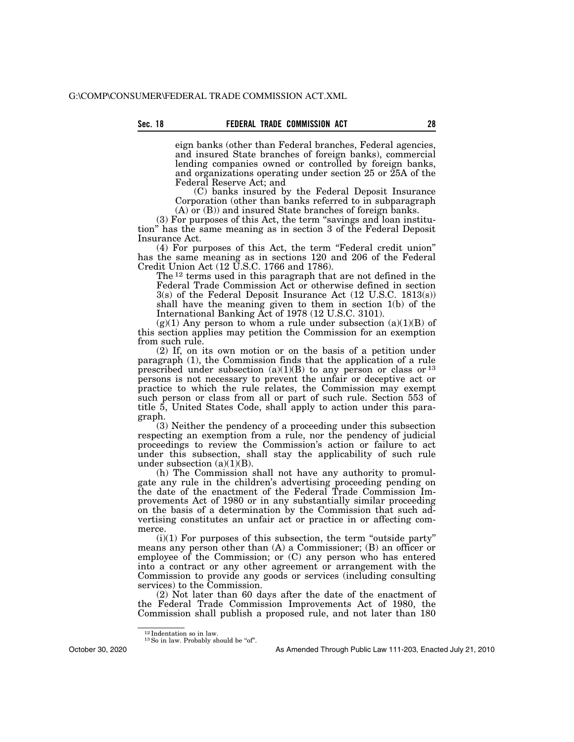eign banks (other than Federal branches, Federal agencies, and insured State branches of foreign banks), commercial lending companies owned or controlled by foreign banks, and organizations operating under section 25 or 25A of the Federal Reserve Act; and

(C) banks insured by the Federal Deposit Insurance Corporation (other than banks referred to in subparagraph (A) or (B)) and insured State branches of foreign banks.

(3) For purposes of this Act, the term ''savings and loan institution'' has the same meaning as in section 3 of the Federal Deposit Insurance Act.

(4) For purposes of this Act, the term ''Federal credit union'' has the same meaning as in sections 120 and 206 of the Federal Credit Union Act (12 U.S.C. 1766 and 1786).

The 12 terms used in this paragraph that are not defined in the Federal Trade Commission Act or otherwise defined in section 3(s) of the Federal Deposit Insurance Act (12 U.S.C. 1813(s)) shall have the meaning given to them in section 1(b) of the International Banking Act of 1978 (12 U.S.C. 3101).

 $(g)(1)$  Any person to whom a rule under subsection  $(a)(1)(B)$  of this section applies may petition the Commission for an exemption from such rule.

(2) If, on its own motion or on the basis of a petition under paragraph (1), the Commission finds that the application of a rule prescribed under subsection  $(a)(1)(B)$  to any person or class or  $^{13}$ persons is not necessary to prevent the unfair or deceptive act or practice to which the rule relates, the Commission may exempt such person or class from all or part of such rule. Section 553 of title 5, United States Code, shall apply to action under this paragraph.

(3) Neither the pendency of a proceeding under this subsection respecting an exemption from a rule, nor the pendency of judicial proceedings to review the Commission's action or failure to act under this subsection, shall stay the applicability of such rule under subsection  $(a)(1)(B)$ .

(h) The Commission shall not have any authority to promulgate any rule in the children's advertising proceeding pending on the date of the enactment of the Federal Trade Commission Improvements Act of 1980 or in any substantially similar proceeding on the basis of a determination by the Commission that such advertising constitutes an unfair act or practice in or affecting commerce.

 $(i)(1)$  For purposes of this subsection, the term "outside party" means any person other than (A) a Commissioner; (B) an officer or employee of the Commission; or (C) any person who has entered into a contract or any other agreement or arrangement with the Commission to provide any goods or services (including consulting services) to the Commission.

(2) Not later than 60 days after the date of the enactment of the Federal Trade Commission Improvements Act of 1980, the Commission shall publish a proposed rule, and not later than 180

October 30, 2020

 $12$  Indentation so in law.<br> $13$  So in law. Probably should be "of".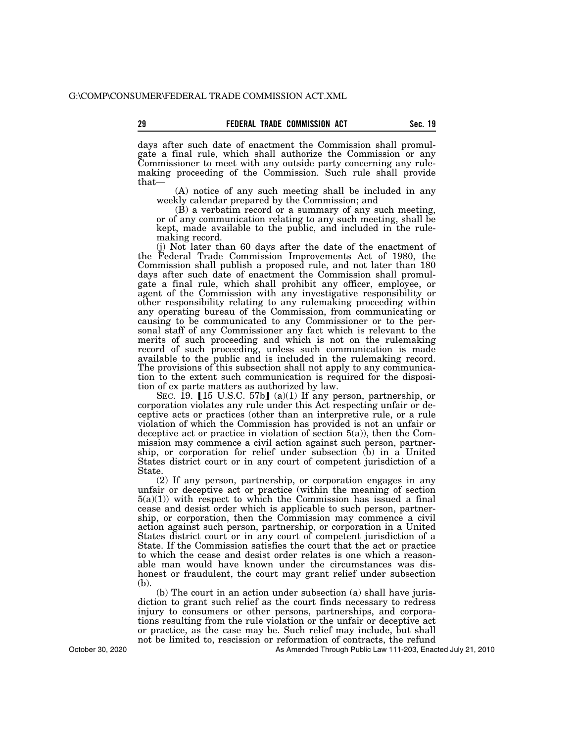days after such date of enactment the Commission shall promulgate a final rule, which shall authorize the Commission or any Commissioner to meet with any outside party concerning any rulemaking proceeding of the Commission. Such rule shall provide that—

(A) notice of any such meeting shall be included in any weekly calendar prepared by the Commission; and

(B) a verbatim record or a summary of any such meeting, or of any communication relating to any such meeting, shall be kept, made available to the public, and included in the rulemaking record.

(j) Not later than 60 days after the date of the enactment of the Federal Trade Commission Improvements Act of 1980, the Commission shall publish a proposed rule, and not later than 180 days after such date of enactment the Commission shall promulgate a final rule, which shall prohibit any officer, employee, or agent of the Commission with any investigative responsibility or other responsibility relating to any rulemaking proceeding within any operating bureau of the Commission, from communicating or causing to be communicated to any Commissioner or to the personal staff of any Commissioner any fact which is relevant to the merits of such proceeding and which is not on the rulemaking record of such proceeding, unless such communication is made available to the public and is included in the rulemaking record. The provisions of this subsection shall not apply to any communication to the extent such communication is required for the disposition of ex parte matters as authorized by law.

SEC. 19.  $[15 \text{ U.S.C. } 57b]$  (a)(1) If any person, partnership, or corporation violates any rule under this Act respecting unfair or deceptive acts or practices (other than an interpretive rule, or a rule violation of which the Commission has provided is not an unfair or deceptive act or practice in violation of section  $5(a)$ ), then the Commission may commence a civil action against such person, partnership, or corporation for relief under subsection (b) in a United States district court or in any court of competent jurisdiction of a State.

(2) If any person, partnership, or corporation engages in any unfair or deceptive act or practice (within the meaning of section  $5(a)(1)$ ) with respect to which the Commission has issued a final cease and desist order which is applicable to such person, partnership, or corporation, then the Commission may commence a civil action against such person, partnership, or corporation in a United States district court or in any court of competent jurisdiction of a State. If the Commission satisfies the court that the act or practice to which the cease and desist order relates is one which a reasonable man would have known under the circumstances was dishonest or fraudulent, the court may grant relief under subsection (b).

(b) The court in an action under subsection (a) shall have jurisdiction to grant such relief as the court finds necessary to redress injury to consumers or other persons, partnerships, and corporations resulting from the rule violation or the unfair or deceptive act or practice, as the case may be. Such relief may include, but shall not be limited to, rescission or reformation of contracts, the refund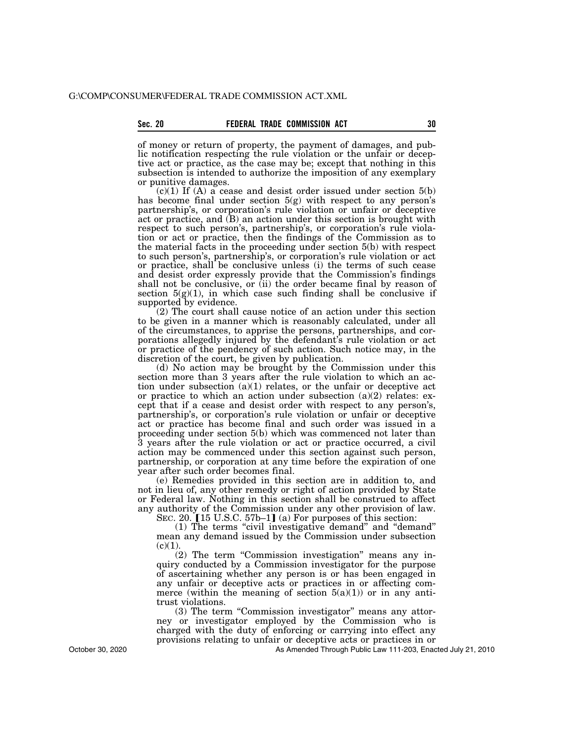# **Sec. 20 FEDERAL TRADE COMMISSION ACT 30**

of money or return of property, the payment of damages, and public notification respecting the rule violation or the unfair or deceptive act or practice, as the case may be; except that nothing in this subsection is intended to authorize the imposition of any exemplary or punitive damages.

 $(c)(1)$  If (A) a cease and desist order issued under section  $5(b)$ has become final under section  $5(g)$  with respect to any person's partnership's, or corporation's rule violation or unfair or deceptive act or practice, and (B) an action under this section is brought with respect to such person's, partnership's, or corporation's rule violation or act or practice, then the findings of the Commission as to the material facts in the proceeding under section 5(b) with respect to such person's, partnership's, or corporation's rule violation or act or practice, shall be conclusive unless (i) the terms of such cease and desist order expressly provide that the Commission's findings shall not be conclusive, or (ii) the order became final by reason of section  $5(g)(1)$ , in which case such finding shall be conclusive if supported by evidence.

(2) The court shall cause notice of an action under this section to be given in a manner which is reasonably calculated, under all of the circumstances, to apprise the persons, partnerships, and corporations allegedly injured by the defendant's rule violation or act or practice of the pendency of such action. Such notice may, in the discretion of the court, be given by publication.

(d) No action may be brought by the Commission under this section more than 3 years after the rule violation to which an action under subsection (a)(1) relates, or the unfair or deceptive act or practice to which an action under subsection (a)(2) relates: except that if a cease and desist order with respect to any person's, partnership's, or corporation's rule violation or unfair or deceptive act or practice has become final and such order was issued in a proceeding under section 5(b) which was commenced not later than 3 years after the rule violation or act or practice occurred, a civil action may be commenced under this section against such person, partnership, or corporation at any time before the expiration of one year after such order becomes final.

(e) Remedies provided in this section are in addition to, and not in lieu of, any other remedy or right of action provided by State or Federal law. Nothing in this section shall be construed to affect any authority of the Commission under any other provision of law.

SEC. 20.  $[15 \text{ U.S.C. } 57b-1]$  (a) For purposes of this section:

(1) The terms "civil investigative demand" and "demand" mean any demand issued by the Commission under subsection  $(c)(1)$ .

(2) The term "Commission investigation" means any inquiry conducted by a Commission investigator for the purpose of ascertaining whether any person is or has been engaged in any unfair or deceptive acts or practices in or affecting commerce (within the meaning of section  $5(a)(1)$ ) or in any antitrust violations.

(3) The term "Commission investigator" means any attorney or investigator employed by the Commission who is charged with the duty of enforcing or carrying into effect any provisions relating to unfair or deceptive acts or practices in or

As Amended Through Public Law 111-203, Enacted July 21, 2010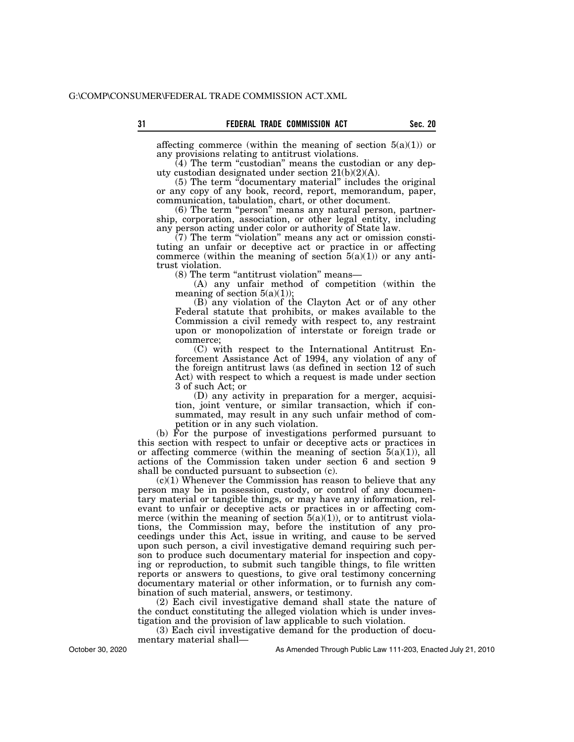affecting commerce (within the meaning of section  $5(a)(1)$ ) or any provisions relating to antitrust violations.

(4) The term ''custodian'' means the custodian or any deputy custodian designated under section 21(b)(2)(A).

(5) The term ''documentary material'' includes the original or any copy of any book, record, report, memorandum, paper, communication, tabulation, chart, or other document.

(6) The term ''person'' means any natural person, partnership, corporation, association, or other legal entity, including any person acting under color or authority of State law.

 $(7)$  The term "violation" means any act or omission constituting an unfair or deceptive act or practice in or affecting commerce (within the meaning of section  $5(a)(1)$ ) or any antitrust violation.

(8) The term ''antitrust violation'' means—

(A) any unfair method of competition (within the meaning of section  $5(a)(1)$ ;

(B) any violation of the Clayton Act or of any other Federal statute that prohibits, or makes available to the Commission a civil remedy with respect to, any restraint upon or monopolization of interstate or foreign trade or commerce;

(C) with respect to the International Antitrust Enforcement Assistance Act of 1994, any violation of any of the foreign antitrust laws (as defined in section 12 of such Act) with respect to which a request is made under section 3 of such Act; or

(D) any activity in preparation for a merger, acquisition, joint venture, or similar transaction, which if consummated, may result in any such unfair method of competition or in any such violation.

(b) For the purpose of investigations performed pursuant to this section with respect to unfair or deceptive acts or practices in or affecting commerce (within the meaning of section  $\bar{5}(a)(1)$ ), all actions of the Commission taken under section 6 and section 9 shall be conducted pursuant to subsection (c).

(c)(1) Whenever the Commission has reason to believe that any person may be in possession, custody, or control of any documentary material or tangible things, or may have any information, relevant to unfair or deceptive acts or practices in or affecting commerce (within the meaning of section  $5(a)(1)$ ), or to antitrust violations, the Commission may, before the institution of any proceedings under this Act, issue in writing, and cause to be served upon such person, a civil investigative demand requiring such person to produce such documentary material for inspection and copying or reproduction, to submit such tangible things, to file written reports or answers to questions, to give oral testimony concerning documentary material or other information, or to furnish any combination of such material, answers, or testimony.

(2) Each civil investigative demand shall state the nature of the conduct constituting the alleged violation which is under investigation and the provision of law applicable to such violation.

(3) Each civil investigative demand for the production of documentary material shall—

October 30, 2020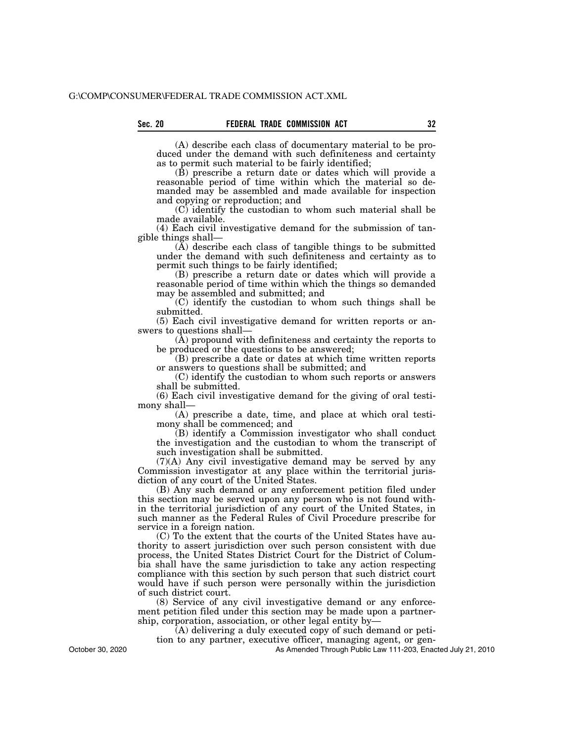(A) describe each class of documentary material to be produced under the demand with such definiteness and certainty as to permit such material to be fairly identified;

(B) prescribe a return date or dates which will provide a reasonable period of time within which the material so demanded may be assembled and made available for inspection and copying or reproduction; and

(C) identify the custodian to whom such material shall be made available.

(4) Each civil investigative demand for the submission of tangible things shall—

(A) describe each class of tangible things to be submitted under the demand with such definiteness and certainty as to permit such things to be fairly identified;

(B) prescribe a return date or dates which will provide a reasonable period of time within which the things so demanded may be assembled and submitted; and

(C) identify the custodian to whom such things shall be submitted.

(5) Each civil investigative demand for written reports or answers to questions shall—

(A) propound with definiteness and certainty the reports to be produced or the questions to be answered;

(B) prescribe a date or dates at which time written reports or answers to questions shall be submitted; and

(C) identify the custodian to whom such reports or answers shall be submitted.

(6) Each civil investigative demand for the giving of oral testimony shall—

(A) prescribe a date, time, and place at which oral testimony shall be commenced; and

(B) identify a Commission investigator who shall conduct the investigation and the custodian to whom the transcript of such investigation shall be submitted.

(7)(A) Any civil investigative demand may be served by any Commission investigator at any place within the territorial jurisdiction of any court of the United States.

(B) Any such demand or any enforcement petition filed under this section may be served upon any person who is not found within the territorial jurisdiction of any court of the United States, in such manner as the Federal Rules of Civil Procedure prescribe for service in a foreign nation.

(C) To the extent that the courts of the United States have authority to assert jurisdiction over such person consistent with due process, the United States District Court for the District of Columbia shall have the same jurisdiction to take any action respecting compliance with this section by such person that such district court would have if such person were personally within the jurisdiction of such district court.

(8) Service of any civil investigative demand or any enforcement petition filed under this section may be made upon a partnership, corporation, association, or other legal entity by—

(A) delivering a duly executed copy of such demand or peti-

tion to any partner, executive officer, managing agent, or gen-

As Amended Through Public Law 111-203, Enacted July 21, 2010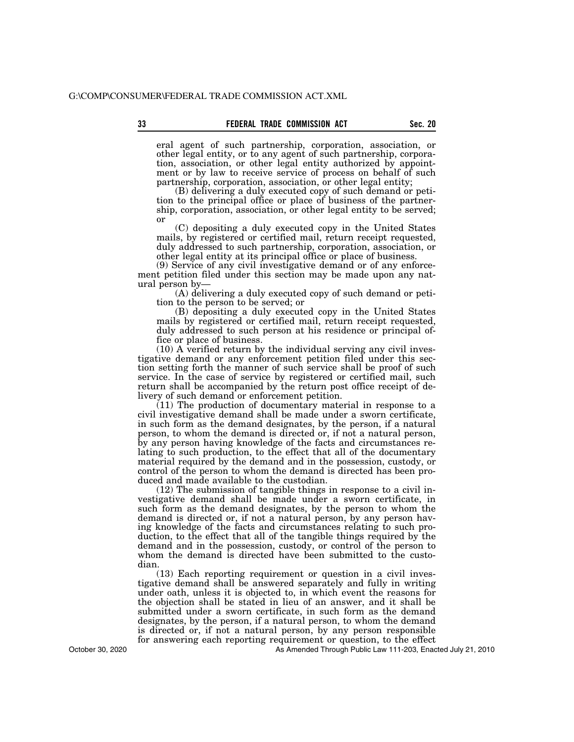eral agent of such partnership, corporation, association, or other legal entity, or to any agent of such partnership, corporation, association, or other legal entity authorized by appointment or by law to receive service of process on behalf of such partnership, corporation, association, or other legal entity;

(B) delivering a duly executed copy of such demand or petition to the principal office or place of business of the partnership, corporation, association, or other legal entity to be served; or

(C) depositing a duly executed copy in the United States mails, by registered or certified mail, return receipt requested, duly addressed to such partnership, corporation, association, or other legal entity at its principal office or place of business.

(9) Service of any civil investigative demand or of any enforcement petition filed under this section may be made upon any natural person by—

(A) delivering a duly executed copy of such demand or petition to the person to be served; or

(B) depositing a duly executed copy in the United States mails by registered or certified mail, return receipt requested, duly addressed to such person at his residence or principal office or place of business.

(10) A verified return by the individual serving any civil investigative demand or any enforcement petition filed under this section setting forth the manner of such service shall be proof of such service. In the case of service by registered or certified mail, such return shall be accompanied by the return post office receipt of delivery of such demand or enforcement petition.

(11) The production of documentary material in response to a civil investigative demand shall be made under a sworn certificate, in such form as the demand designates, by the person, if a natural person, to whom the demand is directed or, if not a natural person, by any person having knowledge of the facts and circumstances relating to such production, to the effect that all of the documentary material required by the demand and in the possession, custody, or control of the person to whom the demand is directed has been produced and made available to the custodian.

(12) The submission of tangible things in response to a civil investigative demand shall be made under a sworn certificate, in such form as the demand designates, by the person to whom the demand is directed or, if not a natural person, by any person having knowledge of the facts and circumstances relating to such production, to the effect that all of the tangible things required by the demand and in the possession, custody, or control of the person to whom the demand is directed have been submitted to the custodian.

(13) Each reporting requirement or question in a civil investigative demand shall be answered separately and fully in writing under oath, unless it is objected to, in which event the reasons for the objection shall be stated in lieu of an answer, and it shall be submitted under a sworn certificate, in such form as the demand designates, by the person, if a natural person, to whom the demand is directed or, if not a natural person, by any person responsible for answering each reporting requirement or question, to the effect

As Amended Through Public Law 111-203, Enacted July 21, 2010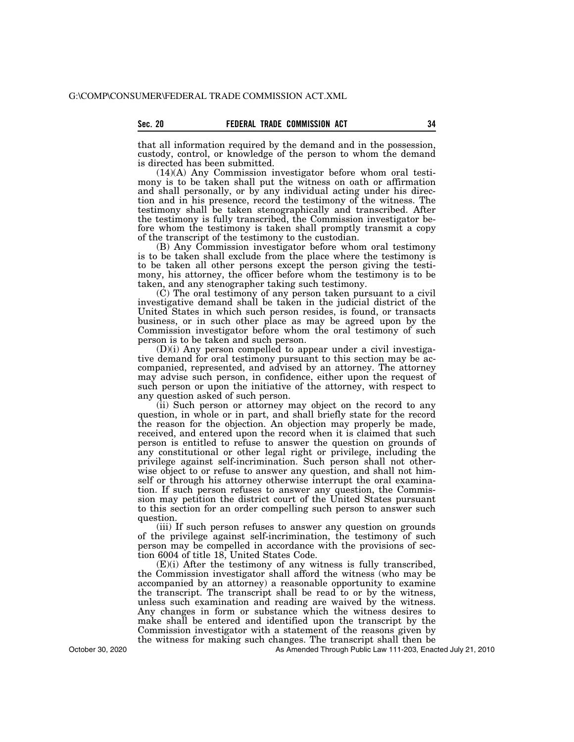that all information required by the demand and in the possession, custody, control, or knowledge of the person to whom the demand is directed has been submitted.

(14)(A) Any Commission investigator before whom oral testimony is to be taken shall put the witness on oath or affirmation and shall personally, or by any individual acting under his direction and in his presence, record the testimony of the witness. The testimony shall be taken stenographically and transcribed. After the testimony is fully transcribed, the Commission investigator before whom the testimony is taken shall promptly transmit a copy of the transcript of the testimony to the custodian.

(B) Any Commission investigator before whom oral testimony is to be taken shall exclude from the place where the testimony is to be taken all other persons except the person giving the testimony, his attorney, the officer before whom the testimony is to be taken, and any stenographer taking such testimony.

(C) The oral testimony of any person taken pursuant to a civil investigative demand shall be taken in the judicial district of the United States in which such person resides, is found, or transacts business, or in such other place as may be agreed upon by the Commission investigator before whom the oral testimony of such person is to be taken and such person.

(D)(i) Any person compelled to appear under a civil investigative demand for oral testimony pursuant to this section may be accompanied, represented, and advised by an attorney. The attorney may advise such person, in confidence, either upon the request of such person or upon the initiative of the attorney, with respect to any question asked of such person.

(ii) Such person or attorney may object on the record to any question, in whole or in part, and shall briefly state for the record the reason for the objection. An objection may properly be made, received, and entered upon the record when it is claimed that such person is entitled to refuse to answer the question on grounds of any constitutional or other legal right or privilege, including the privilege against self-incrimination. Such person shall not otherwise object to or refuse to answer any question, and shall not himself or through his attorney otherwise interrupt the oral examination. If such person refuses to answer any question, the Commission may petition the district court of the United States pursuant to this section for an order compelling such person to answer such question.

(iii) If such person refuses to answer any question on grounds of the privilege against self-incrimination, the testimony of such person may be compelled in accordance with the provisions of section 6004 of title 18, United States Code.

(E)(i) After the testimony of any witness is fully transcribed, the Commission investigator shall afford the witness (who may be accompanied by an attorney) a reasonable opportunity to examine the transcript. The transcript shall be read to or by the witness, unless such examination and reading are waived by the witness. Any changes in form or substance which the witness desires to make shall be entered and identified upon the transcript by the Commission investigator with a statement of the reasons given by the witness for making such changes. The transcript shall then be

As Amended Through Public Law 111-203, Enacted July 21, 2010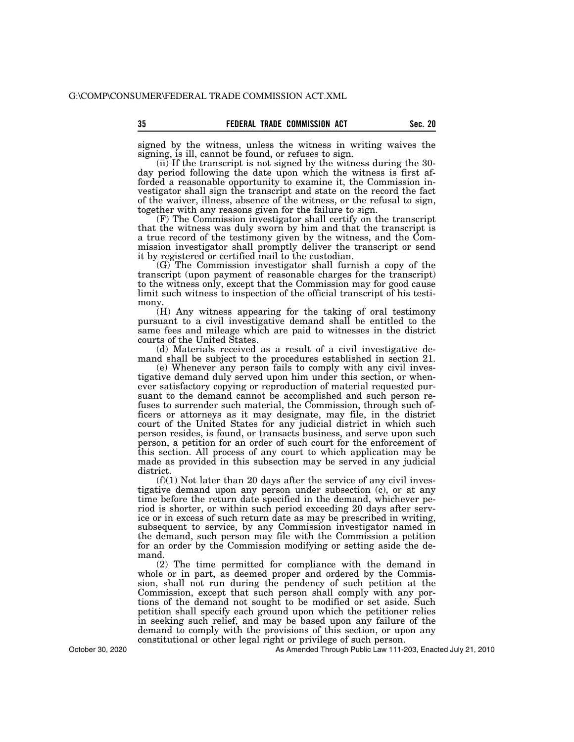signed by the witness, unless the witness in writing waives the signing, is ill, cannot be found, or refuses to sign.

(ii) If the transcript is not signed by the witness during the 30 day period following the date upon which the witness is first afforded a reasonable opportunity to examine it, the Commission investigator shall sign the transcript and state on the record the fact of the waiver, illness, absence of the witness, or the refusal to sign, together with any reasons given for the failure to sign.

(F) The Commission investigator shall certify on the transcript that the witness was duly sworn by him and that the transcript is a true record of the testimony given by the witness, and the Commission investigator shall promptly deliver the transcript or send it by registered or certified mail to the custodian.

(G) The Commission investigator shall furnish a copy of the transcript (upon payment of reasonable charges for the transcript) to the witness only, except that the Commission may for good cause limit such witness to inspection of the official transcript of his testimony.

(H) Any witness appearing for the taking of oral testimony pursuant to a civil investigative demand shall be entitled to the same fees and mileage which are paid to witnesses in the district courts of the United States.

(d) Materials received as a result of a civil investigative demand shall be subject to the procedures established in section 21.

(e) Whenever any person fails to comply with any civil investigative demand duly served upon him under this section, or whenever satisfactory copying or reproduction of material requested pursuant to the demand cannot be accomplished and such person refuses to surrender such material, the Commission, through such officers or attorneys as it may designate, may file, in the district court of the United States for any judicial district in which such person resides, is found, or transacts business, and serve upon such person, a petition for an order of such court for the enforcement of this section. All process of any court to which application may be made as provided in this subsection may be served in any judicial district.

 $(f)(1)$  Not later than 20 days after the service of any civil investigative demand upon any person under subsection (c), or at any time before the return date specified in the demand, whichever period is shorter, or within such period exceeding 20 days after service or in excess of such return date as may be prescribed in writing, subsequent to service, by any Commission investigator named in the demand, such person may file with the Commission a petition for an order by the Commission modifying or setting aside the demand.

(2) The time permitted for compliance with the demand in whole or in part, as deemed proper and ordered by the Commission, shall not run during the pendency of such petition at the Commission, except that such person shall comply with any portions of the demand not sought to be modified or set aside. Such petition shall specify each ground upon which the petitioner relies in seeking such relief, and may be based upon any failure of the demand to comply with the provisions of this section, or upon any constitutional or other legal right or privilege of such person.

October 30, 2020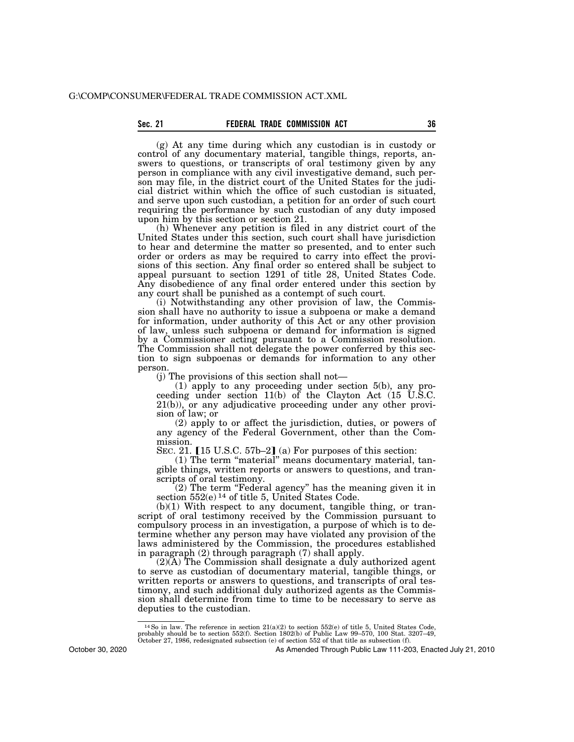(g) At any time during which any custodian is in custody or control of any documentary material, tangible things, reports, answers to questions, or transcripts of oral testimony given by any person in compliance with any civil investigative demand, such person may file, in the district court of the United States for the judicial district within which the office of such custodian is situated, and serve upon such custodian, a petition for an order of such court requiring the performance by such custodian of any duty imposed upon him by this section or section 21.

(h) Whenever any petition is filed in any district court of the United States under this section, such court shall have jurisdiction to hear and determine the matter so presented, and to enter such order or orders as may be required to carry into effect the provisions of this section. Any final order so entered shall be subject to appeal pursuant to section 1291 of title 28, United States Code. Any disobedience of any final order entered under this section by any court shall be punished as a contempt of such court.

(i) Notwithstanding any other provision of law, the Commission shall have no authority to issue a subpoena or make a demand for information, under authority of this Act or any other provision of law, unless such subpoena or demand for information is signed by a Commissioner acting pursuant to a Commission resolution. The Commission shall not delegate the power conferred by this section to sign subpoenas or demands for information to any other person.

(j) The provisions of this section shall not—

(1) apply to any proceeding under section 5(b), any proceeding under section 11(b) of the Clayton Act (15 U.S.C. 21(b)), or any adjudicative proceeding under any other provision of law; or

(2) apply to or affect the jurisdiction, duties, or powers of any agency of the Federal Government, other than the Commission.

SEC. 21.  $[15 \text{ U.S.C. } 57b-2]$  (a) For purposes of this section:

(1) The term ''material'' means documentary material, tangible things, written reports or answers to questions, and transcripts of oral testimony.

(2) The term ''Federal agency'' has the meaning given it in section 552(e)<sup>14</sup> of title 5, United States Code.

 $(b)(1)$  With respect to any document, tangible thing, or transcript of oral testimony received by the Commission pursuant to compulsory process in an investigation, a purpose of which is to determine whether any person may have violated any provision of the laws administered by the Commission, the procedures established in paragraph (2) through paragraph (7) shall apply.

(2)(A) The Commission shall designate a duly authorized agent to serve as custodian of documentary material, tangible things, or written reports or answers to questions, and transcripts of oral testimony, and such additional duly authorized agents as the Commission shall determine from time to time to be necessary to serve as deputies to the custodian.

October 27, 1986, redesignated subsection (e) of section 552 of that title as subsection (f).

<sup>&</sup>lt;sup>14</sup>So in law. The reference in section  $21(a)(2)$  to section  $552(e)$  of title 5, United States Code, probably should be to section  $552(f)$ . Section  $1802(b)$  of Public Law 99–570, 100 Stat. 3207–49,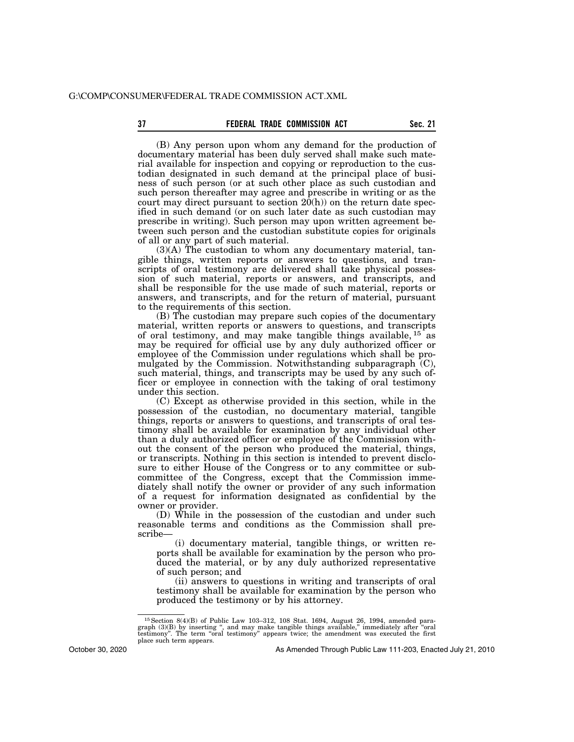**37 SEC. 21 FEDERAL TRADE COMMISSION ACT** Sec. 21

(B) Any person upon whom any demand for the production of documentary material has been duly served shall make such material available for inspection and copying or reproduction to the custodian designated in such demand at the principal place of business of such person (or at such other place as such custodian and such person thereafter may agree and prescribe in writing or as the court may direct pursuant to section 20(h)) on the return date specified in such demand (or on such later date as such custodian may prescribe in writing). Such person may upon written agreement between such person and the custodian substitute copies for originals of all or any part of such material.

(3)(A) The custodian to whom any documentary material, tangible things, written reports or answers to questions, and transcripts of oral testimony are delivered shall take physical possession of such material, reports or answers, and transcripts, and shall be responsible for the use made of such material, reports or answers, and transcripts, and for the return of material, pursuant to the requirements of this section.

(B) The custodian may prepare such copies of the documentary material, written reports or answers to questions, and transcripts of oral testimony, and may make tangible things available, 15 as may be required for official use by any duly authorized officer or employee of the Commission under regulations which shall be promulgated by the Commission. Notwithstanding subparagraph  $(C)$ , such material, things, and transcripts may be used by any such officer or employee in connection with the taking of oral testimony under this section.

(C) Except as otherwise provided in this section, while in the possession of the custodian, no documentary material, tangible things, reports or answers to questions, and transcripts of oral testimony shall be available for examination by any individual other than a duly authorized officer or employee of the Commission without the consent of the person who produced the material, things, or transcripts. Nothing in this section is intended to prevent disclosure to either House of the Congress or to any committee or subcommittee of the Congress, except that the Commission immediately shall notify the owner or provider of any such information of a request for information designated as confidential by the owner or provider.

(D) While in the possession of the custodian and under such reasonable terms and conditions as the Commission shall prescribe—

(i) documentary material, tangible things, or written reports shall be available for examination by the person who produced the material, or by any duly authorized representative of such person; and

(ii) answers to questions in writing and transcripts of oral testimony shall be available for examination by the person who produced the testimony or by his attorney.

<sup>&</sup>lt;sup>15</sup> Section  $8(4)(B)$  of Public Law 103-312, 108 Stat. 1694, August 26, 1994, amended paragraph  $(3)(B)$  by inserting ", and may make tangible things available," immediately after "oral testimony". The term "oral testimony place such term appears.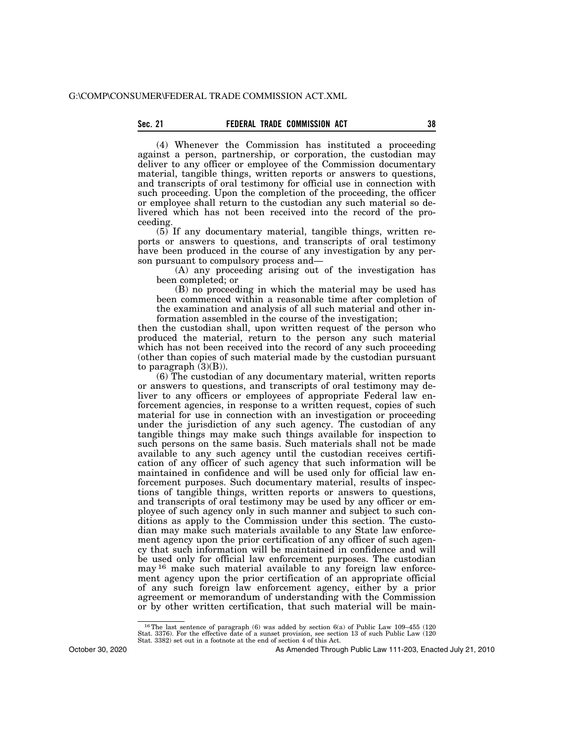## **Sec. 21 FEDERAL TRADE COMMISSION ACT 38**

(4) Whenever the Commission has instituted a proceeding against a person, partnership, or corporation, the custodian may deliver to any officer or employee of the Commission documentary material, tangible things, written reports or answers to questions, and transcripts of oral testimony for official use in connection with such proceeding. Upon the completion of the proceeding, the officer or employee shall return to the custodian any such material so delivered which has not been received into the record of the proceeding.

(5) If any documentary material, tangible things, written reports or answers to questions, and transcripts of oral testimony have been produced in the course of any investigation by any person pursuant to compulsory process and—

(A) any proceeding arising out of the investigation has been completed; or

(B) no proceeding in which the material may be used has been commenced within a reasonable time after completion of the examination and analysis of all such material and other information assembled in the course of the investigation;

then the custodian shall, upon written request of the person who produced the material, return to the person any such material which has not been received into the record of any such proceeding (other than copies of such material made by the custodian pursuant to paragraph  $(3)(B)$ ).

(6) The custodian of any documentary material, written reports or answers to questions, and transcripts of oral testimony may deliver to any officers or employees of appropriate Federal law enforcement agencies, in response to a written request, copies of such material for use in connection with an investigation or proceeding under the jurisdiction of any such agency. The custodian of any tangible things may make such things available for inspection to such persons on the same basis. Such materials shall not be made available to any such agency until the custodian receives certification of any officer of such agency that such information will be maintained in confidence and will be used only for official law enforcement purposes. Such documentary material, results of inspections of tangible things, written reports or answers to questions, and transcripts of oral testimony may be used by any officer or employee of such agency only in such manner and subject to such conditions as apply to the Commission under this section. The custodian may make such materials available to any State law enforcement agency upon the prior certification of any officer of such agency that such information will be maintained in confidence and will be used only for official law enforcement purposes. The custodian may 16 make such material available to any foreign law enforcement agency upon the prior certification of an appropriate official of any such foreign law enforcement agency, either by a prior agreement or memorandum of understanding with the Commission or by other written certification, that such material will be main-

October 30, 2020

<sup>&</sup>lt;sup>16</sup>The last sentence of paragraph  $(6)$  was added by section  $6(a)$  of Public Law 109–455 (120 Stat. 3376). For the effective date of a sunset provision, see section 13 of such Public Law (120 Stat. 3382) set out in a foo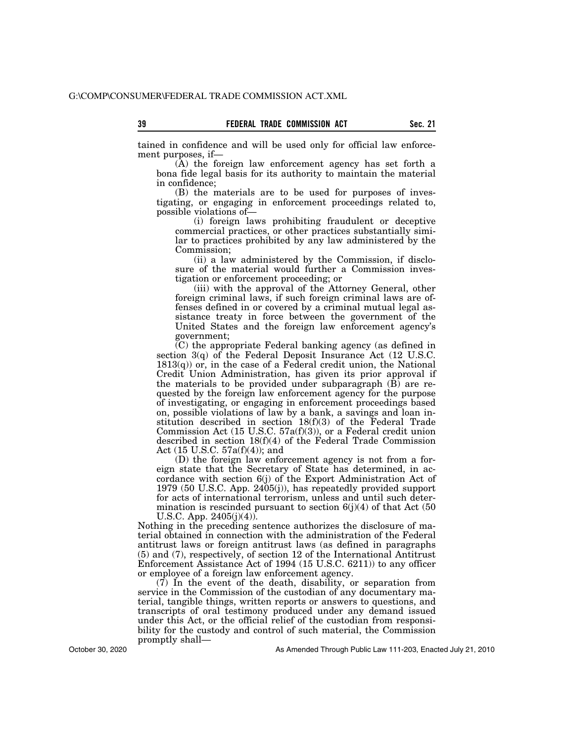tained in confidence and will be used only for official law enforcement purposes, if—

(A) the foreign law enforcement agency has set forth a bona fide legal basis for its authority to maintain the material in confidence;

(B) the materials are to be used for purposes of investigating, or engaging in enforcement proceedings related to, possible violations of—

(i) foreign laws prohibiting fraudulent or deceptive commercial practices, or other practices substantially similar to practices prohibited by any law administered by the Commission;

(ii) a law administered by the Commission, if disclosure of the material would further a Commission investigation or enforcement proceeding; or

(iii) with the approval of the Attorney General, other foreign criminal laws, if such foreign criminal laws are offenses defined in or covered by a criminal mutual legal assistance treaty in force between the government of the United States and the foreign law enforcement agency's government;

(C) the appropriate Federal banking agency (as defined in section 3(q) of the Federal Deposit Insurance Act (12 U.S.C.  $1813(q)$  or, in the case of a Federal credit union, the National Credit Union Administration, has given its prior approval if the materials to be provided under subparagraph (B) are requested by the foreign law enforcement agency for the purpose of investigating, or engaging in enforcement proceedings based on, possible violations of law by a bank, a savings and loan institution described in section 18(f)(3) of the Federal Trade Commission Act (15 U.S.C. 57a(f)(3)), or a Federal credit union described in section 18(f)(4) of the Federal Trade Commission Act (15 U.S.C. 57a(f)(4)); and

(D) the foreign law enforcement agency is not from a foreign state that the Secretary of State has determined, in accordance with section 6(j) of the Export Administration Act of 1979 (50 U.S.C. App. 2405(j)), has repeatedly provided support for acts of international terrorism, unless and until such determination is rescinded pursuant to section  $6(j)(4)$  of that Act (50) U.S.C. App.  $2405(j)(4)$ ).

Nothing in the preceding sentence authorizes the disclosure of material obtained in connection with the administration of the Federal antitrust laws or foreign antitrust laws (as defined in paragraphs (5) and (7), respectively, of section 12 of the International Antitrust Enforcement Assistance Act of 1994 (15 U.S.C. 6211)) to any officer or employee of a foreign law enforcement agency.

(7) In the event of the death, disability, or separation from service in the Commission of the custodian of any documentary material, tangible things, written reports or answers to questions, and transcripts of oral testimony produced under any demand issued under this Act, or the official relief of the custodian from responsibility for the custody and control of such material, the Commission promptly shall—

October 30, 2020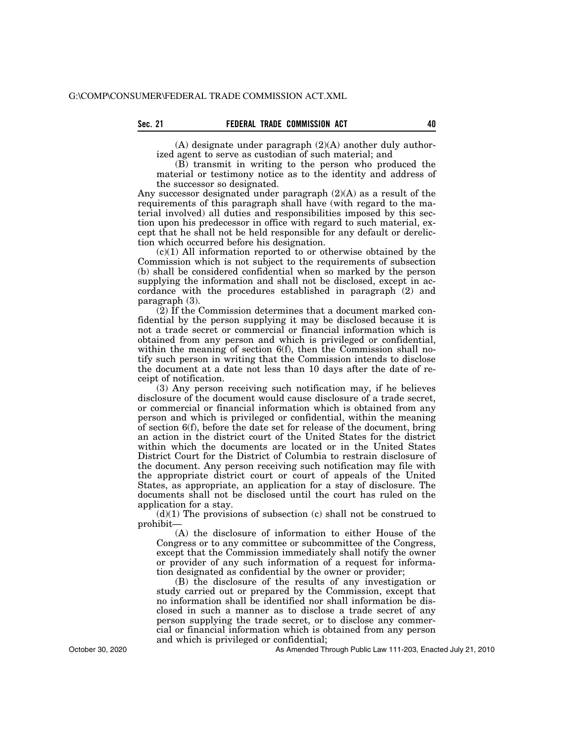(A) designate under paragraph (2)(A) another duly authorized agent to serve as custodian of such material; and

(B) transmit in writing to the person who produced the material or testimony notice as to the identity and address of the successor so designated.

Any successor designated under paragraph (2)(A) as a result of the requirements of this paragraph shall have (with regard to the material involved) all duties and responsibilities imposed by this section upon his predecessor in office with regard to such material, except that he shall not be held responsible for any default or dereliction which occurred before his designation.

(c)(1) All information reported to or otherwise obtained by the Commission which is not subject to the requirements of subsection (b) shall be considered confidential when so marked by the person supplying the information and shall not be disclosed, except in accordance with the procedures established in paragraph (2) and paragraph (3).

 $(2)$  If the Commission determines that a document marked confidential by the person supplying it may be disclosed because it is not a trade secret or commercial or financial information which is obtained from any person and which is privileged or confidential, within the meaning of section 6(f), then the Commission shall notify such person in writing that the Commission intends to disclose the document at a date not less than 10 days after the date of receipt of notification.

(3) Any person receiving such notification may, if he believes disclosure of the document would cause disclosure of a trade secret, or commercial or financial information which is obtained from any person and which is privileged or confidential, within the meaning of section 6(f), before the date set for release of the document, bring an action in the district court of the United States for the district within which the documents are located or in the United States District Court for the District of Columbia to restrain disclosure of the document. Any person receiving such notification may file with the appropriate district court or court of appeals of the United States, as appropriate, an application for a stay of disclosure. The documents shall not be disclosed until the court has ruled on the application for a stay.

 $(d)(1)$  The provisions of subsection  $(c)$  shall not be construed to prohibit—

(A) the disclosure of information to either House of the Congress or to any committee or subcommittee of the Congress, except that the Commission immediately shall notify the owner or provider of any such information of a request for information designated as confidential by the owner or provider;

(B) the disclosure of the results of any investigation or study carried out or prepared by the Commission, except that no information shall be identified nor shall information be disclosed in such a manner as to disclose a trade secret of any person supplying the trade secret, or to disclose any commercial or financial information which is obtained from any person and which is privileged or confidential;

As Amended Through Public Law 111-203, Enacted July 21, 2010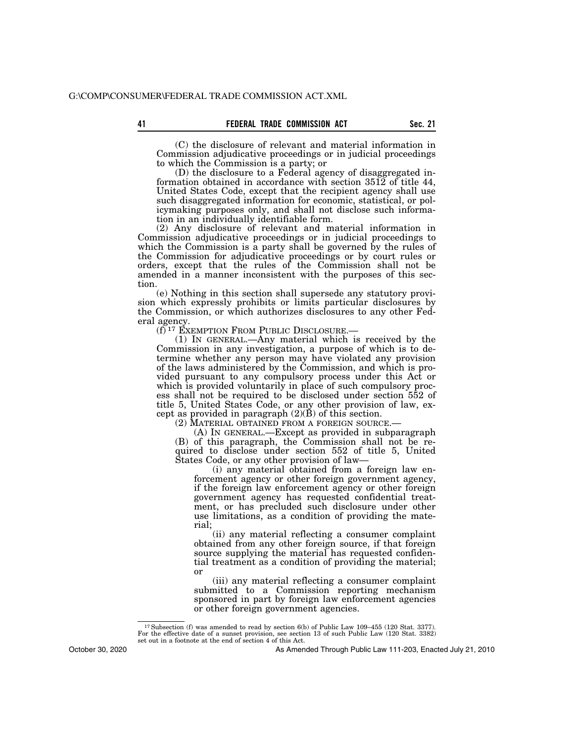(C) the disclosure of relevant and material information in Commission adjudicative proceedings or in judicial proceedings to which the Commission is a party; or

(D) the disclosure to a Federal agency of disaggregated information obtained in accordance with section 3512 of title 44, United States Code, except that the recipient agency shall use such disaggregated information for economic, statistical, or policymaking purposes only, and shall not disclose such information in an individually identifiable form.

(2) Any disclosure of relevant and material information in Commission adjudicative proceedings or in judicial proceedings to which the Commission is a party shall be governed by the rules of the Commission for adjudicative proceedings or by court rules or orders, except that the rules of the Commission shall not be amended in a manner inconsistent with the purposes of this section.

(e) Nothing in this section shall supersede any statutory provision which expressly prohibits or limits particular disclosures by the Commission, or which authorizes disclosures to any other Federal agency.<br>  $(f)$ <sup>17</sup> EXEMPTION FROM PUBLIC DISCLOSURE.—

 $(1)$  IN GENERAL.—Any material which is received by the Commission in any investigation, a purpose of which is to determine whether any person may have violated any provision of the laws administered by the Commission, and which is provided pursuant to any compulsory process under this Act or which is provided voluntarily in place of such compulsory process shall not be required to be disclosed under section 552 of title 5, United States Code, or any other provision of law, except as provided in paragraph  $(2)(\check{B})$  of this section.<br>(2) MATERIAL OBTAINED FROM A FOREIGN SOURCE.

 $(A)$  In GENERAL.—Except as provided in subparagraph (B) of this paragraph, the Commission shall not be required to disclose under section 552 of title 5, United States Code, or any other provision of law—

(i) any material obtained from a foreign law enforcement agency or other foreign government agency, if the foreign law enforcement agency or other foreign government agency has requested confidential treatment, or has precluded such disclosure under other use limitations, as a condition of providing the material;

(ii) any material reflecting a consumer complaint obtained from any other foreign source, if that foreign source supplying the material has requested confidential treatment as a condition of providing the material; or

(iii) any material reflecting a consumer complaint submitted to a Commission reporting mechanism sponsored in part by foreign law enforcement agencies or other foreign government agencies.

October 30, 2020

<sup>17</sup>Subsection (f) was amended to read by section 6(b) of Public Law 109–455 (120 Stat. 3377). For the effective date of a sunset provision, see section 13 of such Public Law (120 Stat. 3382)

set out in a footnote at the end of section 4 of this Act.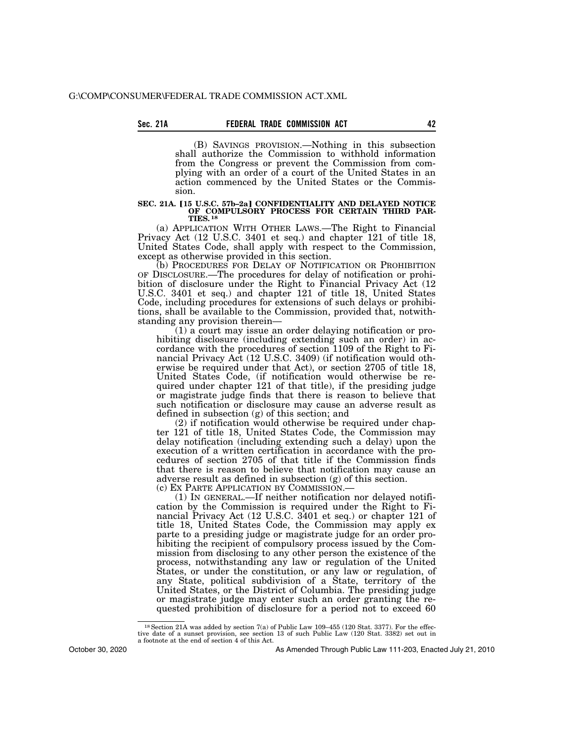# Sec. 21A **FEDERAL TRADE COMMISSION ACT** 42

(B) SAVINGS PROVISION.—Nothing in this subsection shall authorize the Commission to withhold information from the Congress or prevent the Commission from complying with an order of a court of the United States in an action commenced by the United States or the Commission.

# SEC. 21A. [15 U.S.C. 57b–2a] CONFIDENTIALITY AND DELAYED NOTICE OF COMPULSORY PROCESS FOR CERTAIN THIRD PAR-**TIES. 18**

(a) APPLICATION WITH OTHER LAWS.—The Right to Financial Privacy Act (12 U.S.C. 3401 et seq.) and chapter 121 of title 18, United States Code, shall apply with respect to the Commission, except as otherwise provided in this section.

(b) PROCEDURES FOR DELAY OF NOTIFICATION OR PROHIBITION OF DISCLOSURE.—The procedures for delay of notification or prohibition of disclosure under the Right to Financial Privacy Act (12 U.S.C. 3401 et seq.) and chapter 121 of title 18, United States Code, including procedures for extensions of such delays or prohibitions, shall be available to the Commission, provided that, notwithstanding any provision therein—

(1) a court may issue an order delaying notification or prohibiting disclosure (including extending such an order) in accordance with the procedures of section 1109 of the Right to Financial Privacy Act (12 U.S.C. 3409) (if notification would otherwise be required under that Act), or section 2705 of title 18, United States Code, (if notification would otherwise be required under chapter 121 of that title), if the presiding judge or magistrate judge finds that there is reason to believe that such notification or disclosure may cause an adverse result as defined in subsection (g) of this section; and

(2) if notification would otherwise be required under chapter 121 of title 18, United States Code, the Commission may delay notification (including extending such a delay) upon the execution of a written certification in accordance with the procedures of section 2705 of that title if the Commission finds that there is reason to believe that notification may cause an adverse result as defined in subsection (g) of this section.<br>(c) Ex PARTE APPLICATION BY COMMISSION.—

 $(1)$  IN GENERAL.—If neither notification nor delayed notification by the Commission is required under the Right to Financial Privacy Act (12 U.S.C. 3401 et seq.) or chapter 121 of title 18, United States Code, the Commission may apply ex parte to a presiding judge or magistrate judge for an order prohibiting the recipient of compulsory process issued by the Commission from disclosing to any other person the existence of the process, notwithstanding any law or regulation of the United States, or under the constitution, or any law or regulation, of any State, political subdivision of a State, territory of the United States, or the District of Columbia. The presiding judge or magistrate judge may enter such an order granting the requested prohibition of disclosure for a period not to exceed 60

a footnote at the end of section 4 of this Act.

October 30, 2020

<sup>18</sup>Section 21A was added by section 7(a) of Public Law 109–455 (120 Stat. 3377). For the effec-tive date of a sunset provision, see section 13 of such Public Law (120 Stat. 3382) set out in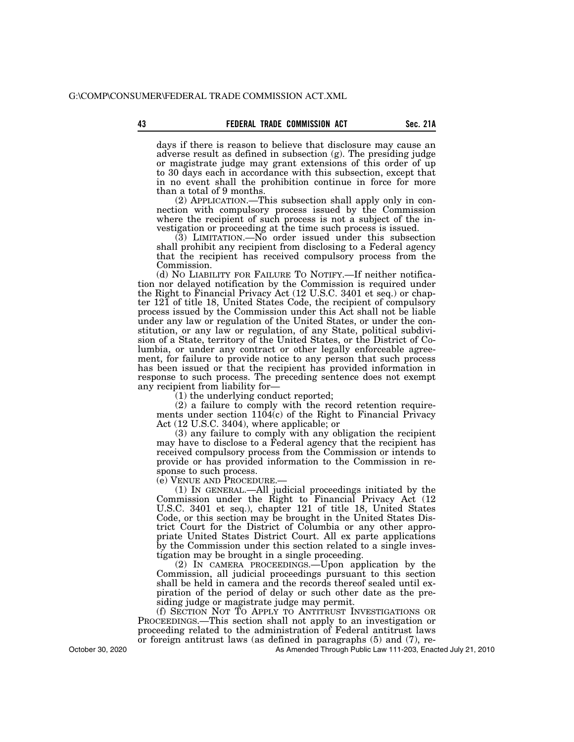days if there is reason to believe that disclosure may cause an adverse result as defined in subsection (g). The presiding judge or magistrate judge may grant extensions of this order of up to 30 days each in accordance with this subsection, except that in no event shall the prohibition continue in force for more than a total of 9 months.

(2) APPLICATION.—This subsection shall apply only in connection with compulsory process issued by the Commission where the recipient of such process is not a subject of the investigation or proceeding at the time such process is issued.

(3) LIMITATION.—No order issued under this subsection shall prohibit any recipient from disclosing to a Federal agency that the recipient has received compulsory process from the Commission.

(d) NO LIABILITY FOR FAILURE TO NOTIFY.—If neither notification nor delayed notification by the Commission is required under the Right to Financial Privacy Act (12 U.S.C. 3401 et seq.) or chapter 121 of title 18, United States Code, the recipient of compulsory process issued by the Commission under this Act shall not be liable under any law or regulation of the United States, or under the constitution, or any law or regulation, of any State, political subdivision of a State, territory of the United States, or the District of Columbia, or under any contract or other legally enforceable agreement, for failure to provide notice to any person that such process has been issued or that the recipient has provided information in response to such process. The preceding sentence does not exempt any recipient from liability for—

(1) the underlying conduct reported;

(2) a failure to comply with the record retention requirements under section 1104(c) of the Right to Financial Privacy Act (12 U.S.C. 3404), where applicable; or

(3) any failure to comply with any obligation the recipient may have to disclose to a Federal agency that the recipient has received compulsory process from the Commission or intends to provide or has provided information to the Commission in response to such process.

(e) VENUE AND PROCEDURE.—

(1) IN GENERAL.—All judicial proceedings initiated by the Commission under the Right to Financial Privacy Act (12 U.S.C. 3401 et seq.), chapter 121 of title 18, United States Code, or this section may be brought in the United States District Court for the District of Columbia or any other appropriate United States District Court. All ex parte applications by the Commission under this section related to a single investigation may be brought in a single proceeding.

(2) IN CAMERA PROCEEDINGS.—Upon application by the Commission, all judicial proceedings pursuant to this section shall be held in camera and the records thereof sealed until expiration of the period of delay or such other date as the presiding judge or magistrate judge may permit.

(f) SECTION NOT TO APPLY TO ANTITRUST INVESTIGATIONS OR PROCEEDINGS.—This section shall not apply to an investigation or proceeding related to the administration of Federal antitrust laws or foreign antitrust laws (as defined in paragraphs (5) and (7), re-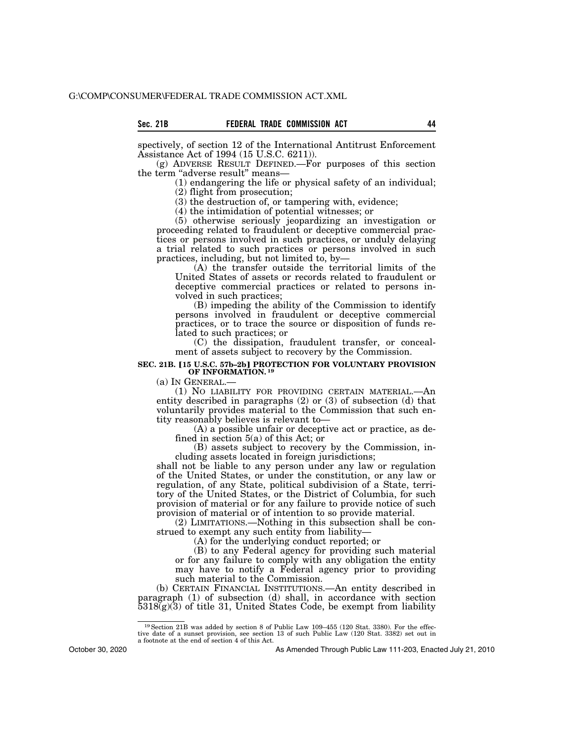spectively, of section 12 of the International Antitrust Enforcement Assistance Act of 1994 (15 U.S.C. 6211)).

(g) ADVERSE RESULT DEFINED.—For purposes of this section the term "adverse result" means-

(1) endangering the life or physical safety of an individual; (2) flight from prosecution;

(3) the destruction of, or tampering with, evidence;

(4) the intimidation of potential witnesses; or

(5) otherwise seriously jeopardizing an investigation or proceeding related to fraudulent or deceptive commercial practices or persons involved in such practices, or unduly delaying a trial related to such practices or persons involved in such practices, including, but not limited to, by—

(A) the transfer outside the territorial limits of the United States of assets or records related to fraudulent or deceptive commercial practices or related to persons involved in such practices;

(B) impeding the ability of the Commission to identify persons involved in fraudulent or deceptive commercial practices, or to trace the source or disposition of funds related to such practices; or

(C) the dissipation, fraudulent transfer, or concealment of assets subject to recovery by the Commission.

#### **SEC. 21B. [15 U.S.C. 57b-2b] PROTECTION FOR VOLUNTARY PROVISION OF INFORMATION. 19**

(a) IN GENERAL.—

(1) NO LIABILITY FOR PROVIDING CERTAIN MATERIAL.—An entity described in paragraphs (2) or (3) of subsection (d) that voluntarily provides material to the Commission that such entity reasonably believes is relevant to—

(A) a possible unfair or deceptive act or practice, as defined in section 5(a) of this Act; or

(B) assets subject to recovery by the Commission, including assets located in foreign jurisdictions;

shall not be liable to any person under any law or regulation of the United States, or under the constitution, or any law or regulation, of any State, political subdivision of a State, territory of the United States, or the District of Columbia, for such provision of material or for any failure to provide notice of such provision of material or of intention to so provide material.

(2) LIMITATIONS.—Nothing in this subsection shall be construed to exempt any such entity from liability—

(A) for the underlying conduct reported; or

(B) to any Federal agency for providing such material or for any failure to comply with any obligation the entity may have to notify a Federal agency prior to providing such material to the Commission.

(b) CERTAIN FINANCIAL INSTITUTIONS.—An entity described in paragraph (1) of subsection (d) shall, in accordance with section  $5318(g)(3)$  of title 31, United States Code, be exempt from liability

a footnote at the end of section 4 of this Act.

October 30, 2020

<sup>19</sup>Section 21B was added by section 8 of Public Law 109–455 (120 Stat. 3380). For the effec-tive date of a sunset provision, see section 13 of such Public Law (120 Stat. 3382) set out in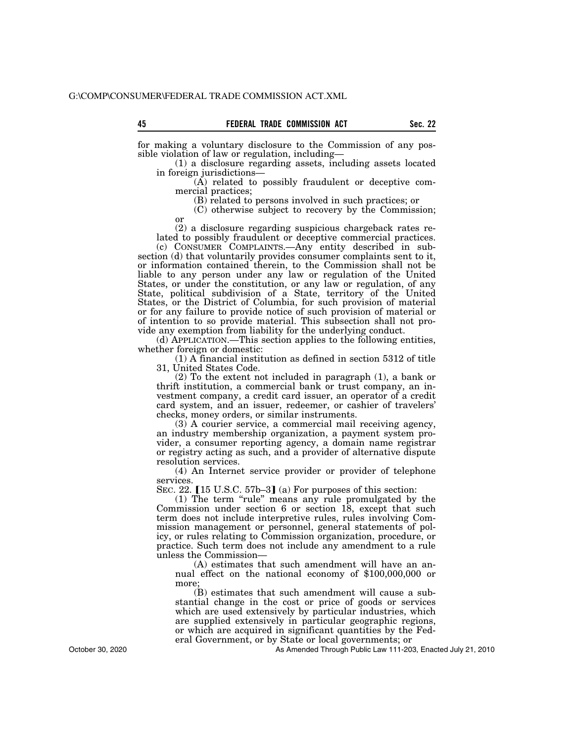for making a voluntary disclosure to the Commission of any possible violation of law or regulation, including—

(1) a disclosure regarding assets, including assets located in foreign jurisdictions—

 $(A)$  related to possibly fraudulent or deceptive commercial practices;

(B) related to persons involved in such practices; or

(C) otherwise subject to recovery by the Commission; or

(2) a disclosure regarding suspicious chargeback rates related to possibly fraudulent or deceptive commercial practices.

(c) CONSUMER COMPLAINTS.—Any entity described in subsection (d) that voluntarily provides consumer complaints sent to it, or information contained therein, to the Commission shall not be liable to any person under any law or regulation of the United States, or under the constitution, or any law or regulation, of any State, political subdivision of a State, territory of the United States, or the District of Columbia, for such provision of material or for any failure to provide notice of such provision of material or of intention to so provide material. This subsection shall not provide any exemption from liability for the underlying conduct.

(d) APPLICATION.—This section applies to the following entities, whether foreign or domestic:

(1) A financial institution as defined in section 5312 of title 31, United States Code.

(2) To the extent not included in paragraph (1), a bank or thrift institution, a commercial bank or trust company, an investment company, a credit card issuer, an operator of a credit card system, and an issuer, redeemer, or cashier of travelers' checks, money orders, or similar instruments.

(3) A courier service, a commercial mail receiving agency, an industry membership organization, a payment system provider, a consumer reporting agency, a domain name registrar or registry acting as such, and a provider of alternative dispute resolution services.

(4) An Internet service provider or provider of telephone services.

SEC. 22.  $[15 \text{ U.S.C. } 57b-3]$  (a) For purposes of this section:

(1) The term ''rule'' means any rule promulgated by the Commission under section 6 or section 18, except that such term does not include interpretive rules, rules involving Commission management or personnel, general statements of policy, or rules relating to Commission organization, procedure, or practice. Such term does not include any amendment to a rule unless the Commission—

(A) estimates that such amendment will have an annual effect on the national economy of \$100,000,000 or more;

(B) estimates that such amendment will cause a substantial change in the cost or price of goods or services which are used extensively by particular industries, which are supplied extensively in particular geographic regions, or which are acquired in significant quantities by the Federal Government, or by State or local governments; or

As Amended Through Public Law 111-203, Enacted July 21, 2010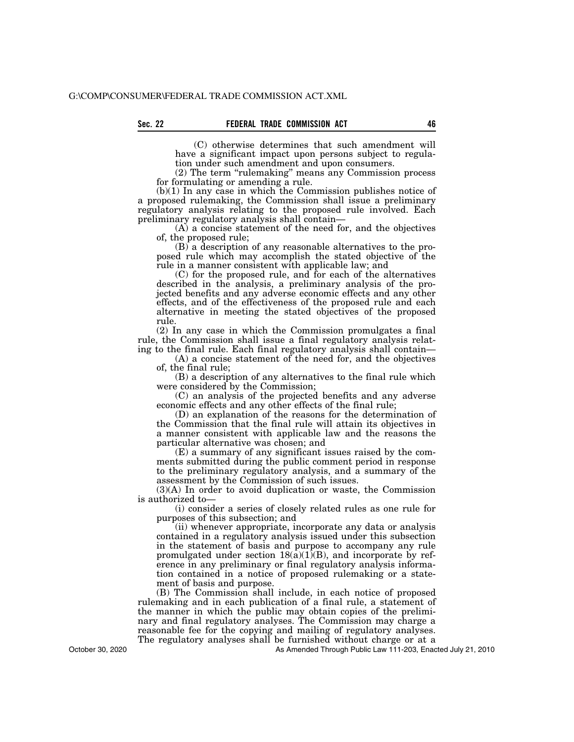(C) otherwise determines that such amendment will have a significant impact upon persons subject to regulation under such amendment and upon consumers.

(2) The term ''rulemaking'' means any Commission process for formulating or amending a rule.

(b)(1) In any case in which the Commission publishes notice of a proposed rulemaking, the Commission shall issue a preliminary regulatory analysis relating to the proposed rule involved. Each preliminary regulatory analysis shall contain—

(A) a concise statement of the need for, and the objectives of, the proposed rule;

(B) a description of any reasonable alternatives to the proposed rule which may accomplish the stated objective of the rule in a manner consistent with applicable law; and

(C) for the proposed rule, and for each of the alternatives described in the analysis, a preliminary analysis of the projected benefits and any adverse economic effects and any other effects, and of the effectiveness of the proposed rule and each alternative in meeting the stated objectives of the proposed rule.

(2) In any case in which the Commission promulgates a final rule, the Commission shall issue a final regulatory analysis relating to the final rule. Each final regulatory analysis shall contain—

(A) a concise statement of the need for, and the objectives of, the final rule;

(B) a description of any alternatives to the final rule which were considered by the Commission;

(C) an analysis of the projected benefits and any adverse economic effects and any other effects of the final rule;

(D) an explanation of the reasons for the determination of the Commission that the final rule will attain its objectives in a manner consistent with applicable law and the reasons the particular alternative was chosen; and

(E) a summary of any significant issues raised by the comments submitted during the public comment period in response to the preliminary regulatory analysis, and a summary of the assessment by the Commission of such issues.

(3)(A) In order to avoid duplication or waste, the Commission is authorized to—

(i) consider a series of closely related rules as one rule for purposes of this subsection; and

(ii) whenever appropriate, incorporate any data or analysis contained in a regulatory analysis issued under this subsection in the statement of basis and purpose to accompany any rule promulgated under section  $18(a)(1)(B)$ , and incorporate by reference in any preliminary or final regulatory analysis information contained in a notice of proposed rulemaking or a statement of basis and purpose.

(B) The Commission shall include, in each notice of proposed rulemaking and in each publication of a final rule, a statement of the manner in which the public may obtain copies of the preliminary and final regulatory analyses. The Commission may charge a reasonable fee for the copying and mailing of regulatory analyses. The regulatory analyses shall be furnished without charge or at a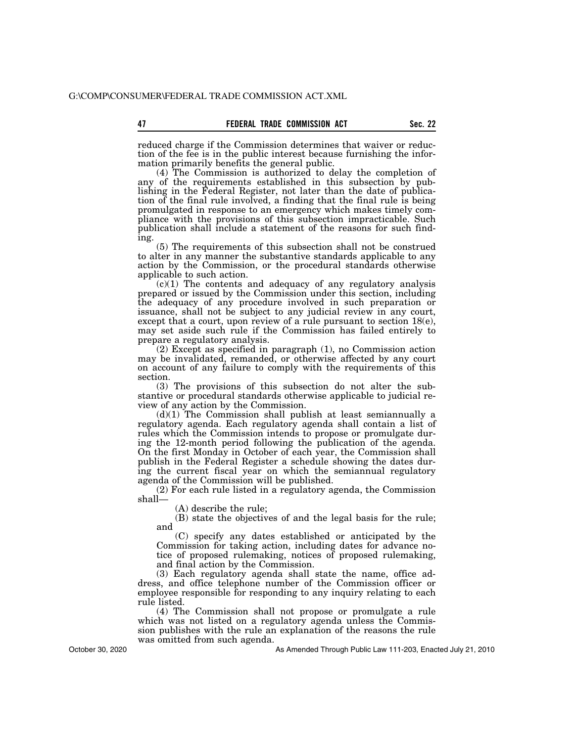reduced charge if the Commission determines that waiver or reduction of the fee is in the public interest because furnishing the information primarily benefits the general public.

(4) The Commission is authorized to delay the completion of any of the requirements established in this subsection by publishing in the Federal Register, not later than the date of publication of the final rule involved, a finding that the final rule is being promulgated in response to an emergency which makes timely compliance with the provisions of this subsection impracticable. Such publication shall include a statement of the reasons for such finding.

(5) The requirements of this subsection shall not be construed to alter in any manner the substantive standards applicable to any action by the Commission, or the procedural standards otherwise applicable to such action.

 $(c)(1)$  The contents and adequacy of any regulatory analysis prepared or issued by the Commission under this section, including the adequacy of any procedure involved in such preparation or issuance, shall not be subject to any judicial review in any court, except that a court, upon review of a rule pursuant to section  $18(e)$ , may set aside such rule if the Commission has failed entirely to prepare a regulatory analysis.

(2) Except as specified in paragraph (1), no Commission action may be invalidated, remanded, or otherwise affected by any court on account of any failure to comply with the requirements of this section.

(3) The provisions of this subsection do not alter the substantive or procedural standards otherwise applicable to judicial review of any action by the Commission.

 $(d)(1)$  The Commission shall publish at least semiannually a regulatory agenda. Each regulatory agenda shall contain a list of rules which the Commission intends to propose or promulgate during the 12-month period following the publication of the agenda. On the first Monday in October of each year, the Commission shall publish in the Federal Register a schedule showing the dates during the current fiscal year on which the semiannual regulatory agenda of the Commission will be published.

(2) For each rule listed in a regulatory agenda, the Commission shall—

(A) describe the rule;

(B) state the objectives of and the legal basis for the rule; and

(C) specify any dates established or anticipated by the Commission for taking action, including dates for advance notice of proposed rulemaking, notices of proposed rulemaking, and final action by the Commission.

(3) Each regulatory agenda shall state the name, office address, and office telephone number of the Commission officer or employee responsible for responding to any inquiry relating to each rule listed.

(4) The Commission shall not propose or promulgate a rule which was not listed on a regulatory agenda unless the Commission publishes with the rule an explanation of the reasons the rule was omitted from such agenda.

October 30, 2020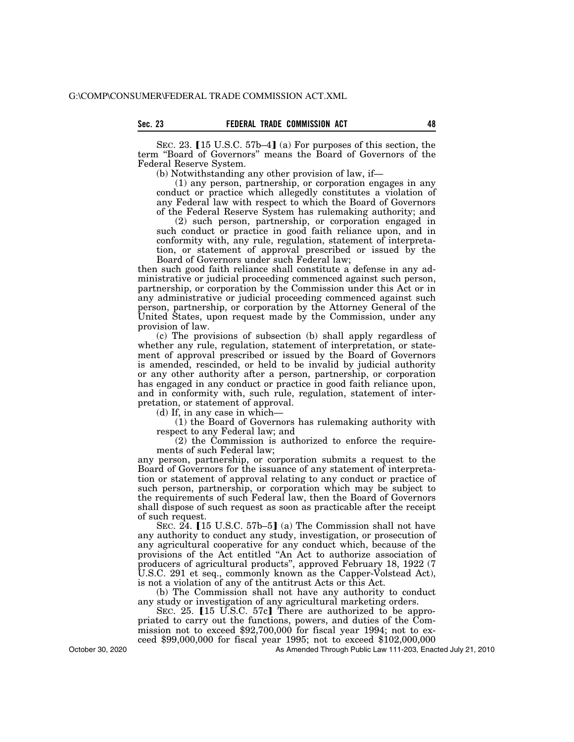SEC. 23.  $[15 \text{ U.S.C. } 57b-4]$  (a) For purposes of this section, the term ''Board of Governors'' means the Board of Governors of the Federal Reserve System.

(b) Notwithstanding any other provision of law, if—

(1) any person, partnership, or corporation engages in any conduct or practice which allegedly constitutes a violation of any Federal law with respect to which the Board of Governors of the Federal Reserve System has rulemaking authority; and

(2) such person, partnership, or corporation engaged in such conduct or practice in good faith reliance upon, and in conformity with, any rule, regulation, statement of interpretation, or statement of approval prescribed or issued by the Board of Governors under such Federal law;

then such good faith reliance shall constitute a defense in any administrative or judicial proceeding commenced against such person, partnership, or corporation by the Commission under this Act or in any administrative or judicial proceeding commenced against such person, partnership, or corporation by the Attorney General of the United States, upon request made by the Commission, under any provision of law.

(c) The provisions of subsection (b) shall apply regardless of whether any rule, regulation, statement of interpretation, or statement of approval prescribed or issued by the Board of Governors is amended, rescinded, or held to be invalid by judicial authority or any other authority after a person, partnership, or corporation has engaged in any conduct or practice in good faith reliance upon, and in conformity with, such rule, regulation, statement of interpretation, or statement of approval.

(d) If, in any case in which—

(1) the Board of Governors has rulemaking authority with respect to any Federal law; and

(2) the Commission is authorized to enforce the requirements of such Federal law;

any person, partnership, or corporation submits a request to the Board of Governors for the issuance of any statement of interpretation or statement of approval relating to any conduct or practice of such person, partnership, or corporation which may be subject to the requirements of such Federal law, then the Board of Governors shall dispose of such request as soon as practicable after the receipt of such request.

SEC.  $24.$  [15 U.S.C. 57b–5] (a) The Commission shall not have any authority to conduct any study, investigation, or prosecution of any agricultural cooperative for any conduct which, because of the provisions of the Act entitled ''An Act to authorize association of producers of agricultural products'', approved February 18, 1922 (7 U.S.C. 291 et seq., commonly known as the Capper-Volstead Act), is not a violation of any of the antitrust Acts or this Act.

(b) The Commission shall not have any authority to conduct any study or investigation of any agricultural marketing orders.

SEC. 25. [15 U.S.C. 57c] There are authorized to be appropriated to carry out the functions, powers, and duties of the Commission not to exceed \$92,700,000 for fiscal year 1994; not to exceed \$99,000,000 for fiscal year 1995; not to exceed \$102,000,000

As Amended Through Public Law 111-203, Enacted July 21, 2010